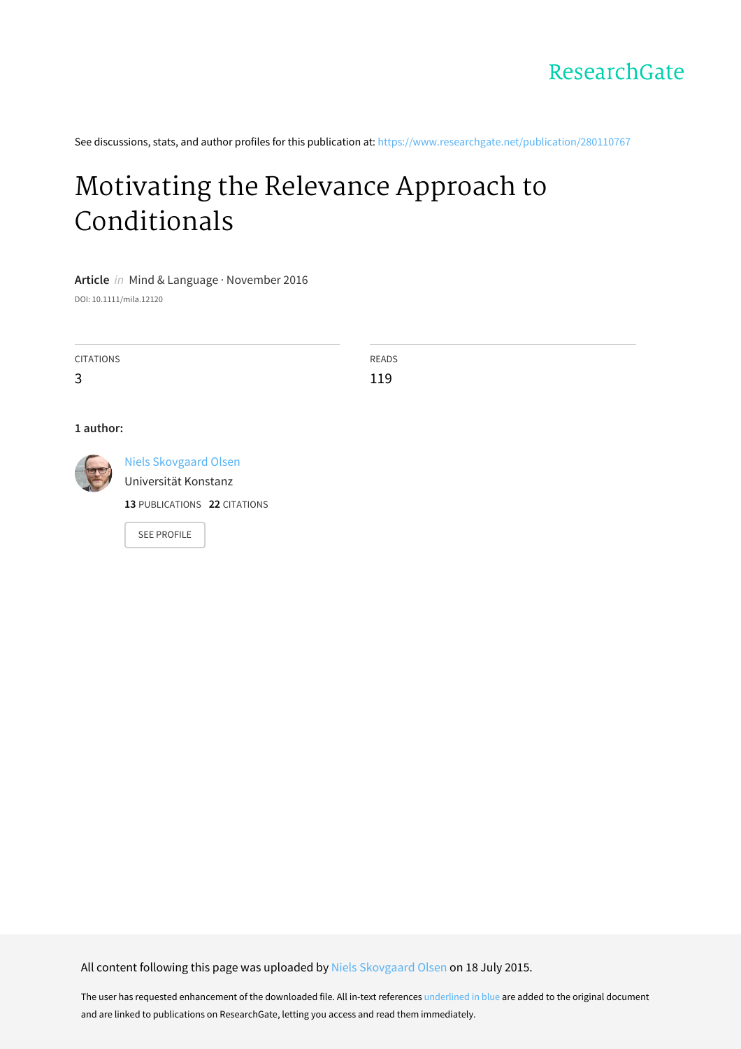See discussions, stats, and author profiles for this publication at: [https://www.researchgate.net/publication/280110767](https://www.researchgate.net/publication/280110767_Motivating_the_Relevance_Approach_to_Conditionals?enrichId=rgreq-7cd8c817751de17319d11462b8d389db-XXX&enrichSource=Y292ZXJQYWdlOzI4MDExMDc2NztBUzoyNTI0OTE3NTc1MTg4NDhAMTQzNzIxMDEzNDM1OA%3D%3D&el=1_x_2&_esc=publicationCoverPdf)

# Motivating the Relevance Approach to [Conditionals](https://www.researchgate.net/publication/280110767_Motivating_the_Relevance_Approach_to_Conditionals?enrichId=rgreq-7cd8c817751de17319d11462b8d389db-XXX&enrichSource=Y292ZXJQYWdlOzI4MDExMDc2NztBUzoyNTI0OTE3NTc1MTg4NDhAMTQzNzIxMDEzNDM1OA%3D%3D&el=1_x_3&_esc=publicationCoverPdf)

**Article** in Mind & Language · November 2016

DOI: 10.1111/mila.12120

| <b>CITATIONS</b><br>3 |                                               | READS<br>119 |
|-----------------------|-----------------------------------------------|--------------|
| 1 author:             |                                               |              |
|                       | Niels Skovgaard Olsen<br>Universität Konstanz |              |

**13** PUBLICATIONS **22** CITATIONS

SEE [PROFILE](https://www.researchgate.net/profile/Niels_Skovgaard_Olsen?enrichId=rgreq-7cd8c817751de17319d11462b8d389db-XXX&enrichSource=Y292ZXJQYWdlOzI4MDExMDc2NztBUzoyNTI0OTE3NTc1MTg4NDhAMTQzNzIxMDEzNDM1OA%3D%3D&el=1_x_7&_esc=publicationCoverPdf)

All content following this page was uploaded by Niels [Skovgaard](https://www.researchgate.net/profile/Niels_Skovgaard_Olsen?enrichId=rgreq-7cd8c817751de17319d11462b8d389db-XXX&enrichSource=Y292ZXJQYWdlOzI4MDExMDc2NztBUzoyNTI0OTE3NTc1MTg4NDhAMTQzNzIxMDEzNDM1OA%3D%3D&el=1_x_10&_esc=publicationCoverPdf) Olsen on 18 July 2015.

The user has requested enhancement of the downloaded file. All in-text references underlined in blue are added to the original document and are linked to publications on ResearchGate, letting you access and read them immediately.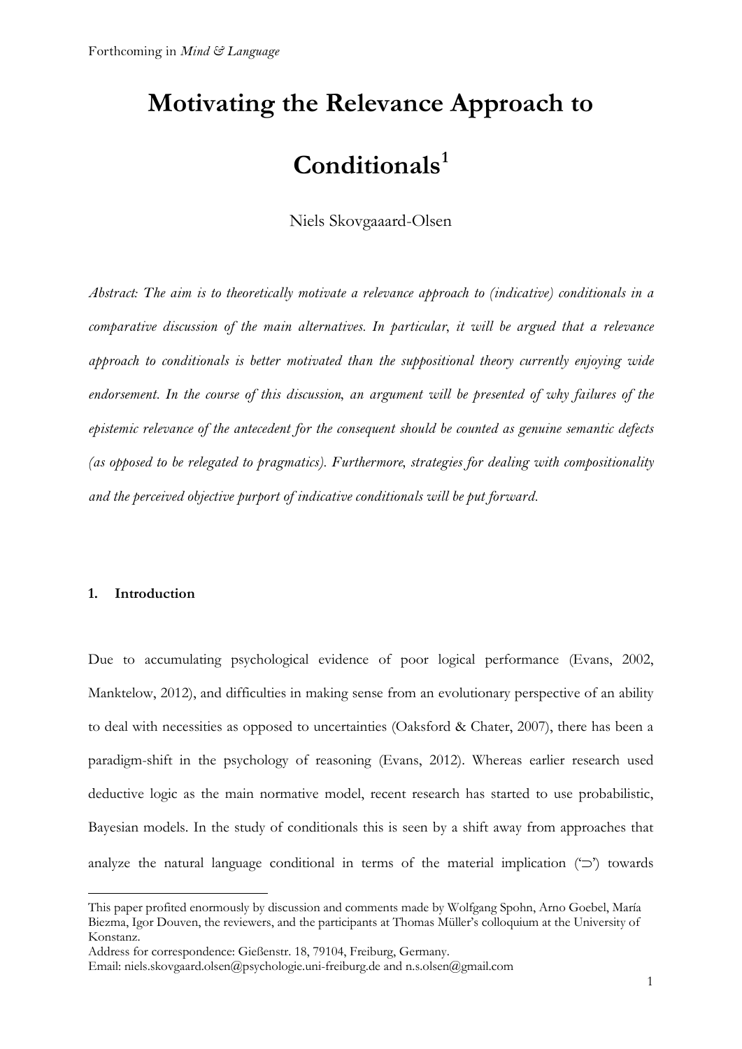# **Motivating the Relevance Approach to Conditionals[1](#page-1-0)**

Niels Skovgaaard-Olsen

*Abstract: The aim is to theoretically motivate a relevance approach to (indicative) conditionals in a comparative discussion of the main alternatives. In particular, it will be argued that a relevance approach to conditionals is better motivated than the suppositional theory currently enjoying wide endorsement. In the course of this discussion, an argument will be presented of why failures of the epistemic relevance of the antecedent for the consequent should be counted as genuine semantic defects (as opposed to be relegated to pragmatics). Furthermore, strategies for dealing with compositionality and the perceived objective purport of indicative conditionals will be put forward.* 

# **1. Introduction**

 $\overline{a}$ 

Due to accumulating psychological evidence of poor logical performance (Evans, 2002, Manktelow, 2012), and difficulties in making sense from an evolutionary perspective of an ability to deal with necessities as opposed to uncertainties (Oaksford & Chater, 2007), there has been a paradigm-shift in the psychology of reasoning (Evans, 2012). Whereas earlier research used deductive logic as the main normative model, recent research has started to use probabilistic, Bayesian models. In the study of conditionals this is seen by a shift away from approaches that analyze the natural language conditional in terms of the material implication ( $\Rightarrow$ ) towards

<span id="page-1-0"></span>This paper profited enormously by discussion and comments made by Wolfgang Spohn, Arno Goebel, María Biezma, Igor Douven, the reviewers, and the participants at Thomas Müller's colloquium at the University of Konstanz.

Address for correspondence: Gießenstr. 18, 79104, Freiburg, Germany.

Email: niels.skovgaard.olsen@psychologie.uni-freiburg.de and n.s.olsen@gmail.com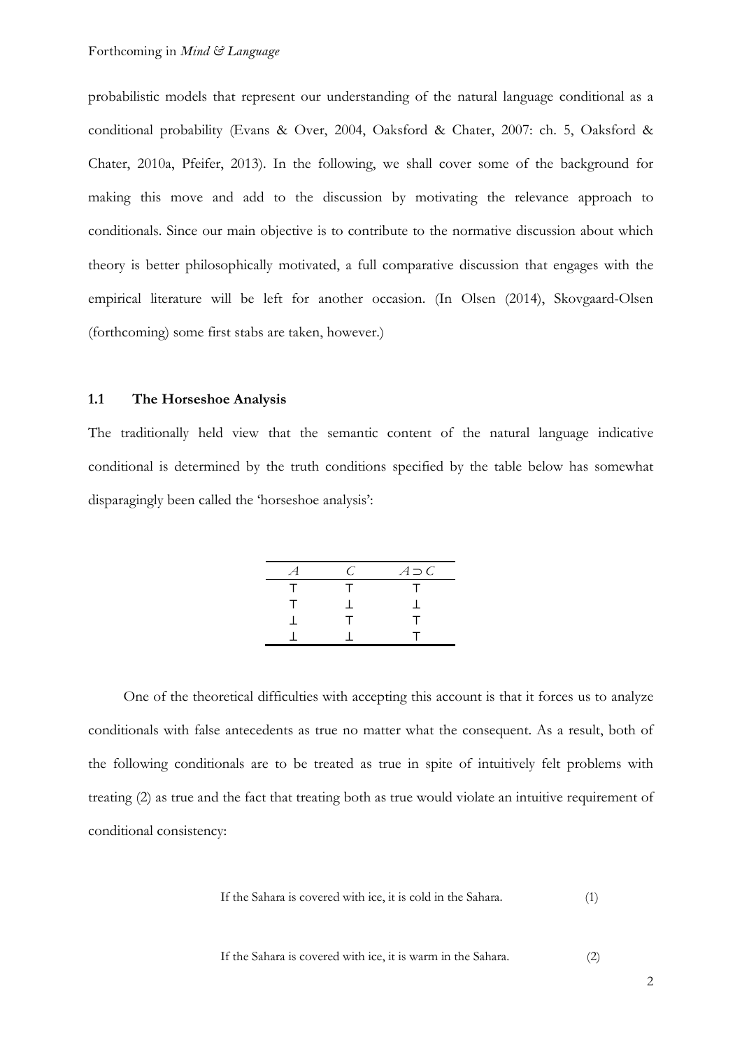probabilistic models that represent our understanding of the natural language conditional as a conditional probability (Evans & Over, 2004, Oaksford & Chater, 2007: ch. 5, Oaksford & Chater, 2010a, Pfeifer, 2013). In the following, we shall cover some of the background for making this move and add to the discussion by motivating the relevance approach to conditionals. Since our main objective is to contribute to the normative discussion about which theory is better philosophically motivated, a full comparative discussion that engages with the empirical literature will be left for another occasion. (In Olsen (2014), Skovgaard-Olsen (forthcoming) some first stabs are taken, however.)

#### **1.1 The Horseshoe Analysis**

The traditionally held view that the semantic content of the natural language indicative conditional is determined by the truth conditions specified by the table below has somewhat disparagingly been called the 'horseshoe analysis':

| $\overline{\mathcal{A}}$ | C | $A \supset C$ |
|--------------------------|---|---------------|
|                          |   |               |
|                          |   | Ι.            |
|                          |   |               |
|                          |   |               |

One of the theoretical difficulties with accepting this account is that it forces us to analyze conditionals with false antecedents as true no matter what the consequent. As a result, both of the following conditionals are to be treated as true in spite of intuitively felt problems with treating (2) as true and the fact that treating both as true would violate an intuitive requirement of conditional consistency:

If the Sahara is covered with ice, it is cold in the Sahara. (1)

If the Sahara is covered with ice, it is warm in the Sahara. (2)

2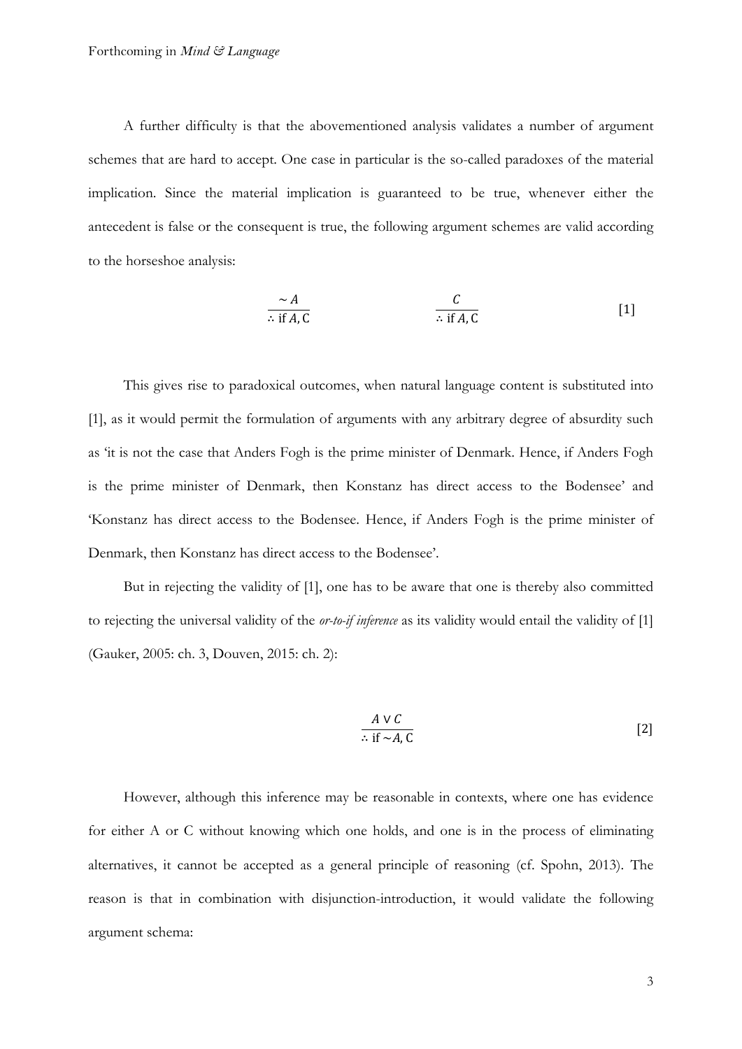A further difficulty is that the abovementioned analysis validates a number of argument schemes that are hard to accept. One case in particular is the so-called paradoxes of the material implication. Since the material implication is guaranteed to be true, whenever either the antecedent is false or the consequent is true, the following argument schemes are valid according to the horseshoe analysis:

$$
\frac{\sim A}{\therefore \text{ if } A, C} \qquad \frac{C}{\therefore \text{ if } A, C} \qquad [1]
$$

This gives rise to paradoxical outcomes, when natural language content is substituted into [1], as it would permit the formulation of arguments with any arbitrary degree of absurdity such as 'it is not the case that Anders Fogh is the prime minister of Denmark. Hence, if Anders Fogh is the prime minister of Denmark, then Konstanz has direct access to the Bodensee' and 'Konstanz has direct access to the Bodensee. Hence, if Anders Fogh is the prime minister of Denmark, then Konstanz has direct access to the Bodensee'.

But in rejecting the validity of [1], one has to be aware that one is thereby also committed to rejecting the universal validity of the *or-to-if inference* as its validity would entail the validity of [1] (Gauker, 2005: ch. 3, Douven, 2015: ch. 2):

$$
\frac{A \vee C}{\therefore \text{ if } \sim A, C}
$$
 [2]

However, although this inference may be reasonable in contexts, where one has evidence for either A or C without knowing which one holds, and one is in the process of eliminating alternatives, it cannot be accepted as a general principle of reasoning (cf. Spohn, 2013). The reason is that in combination with disjunction-introduction, it would validate the following argument schema: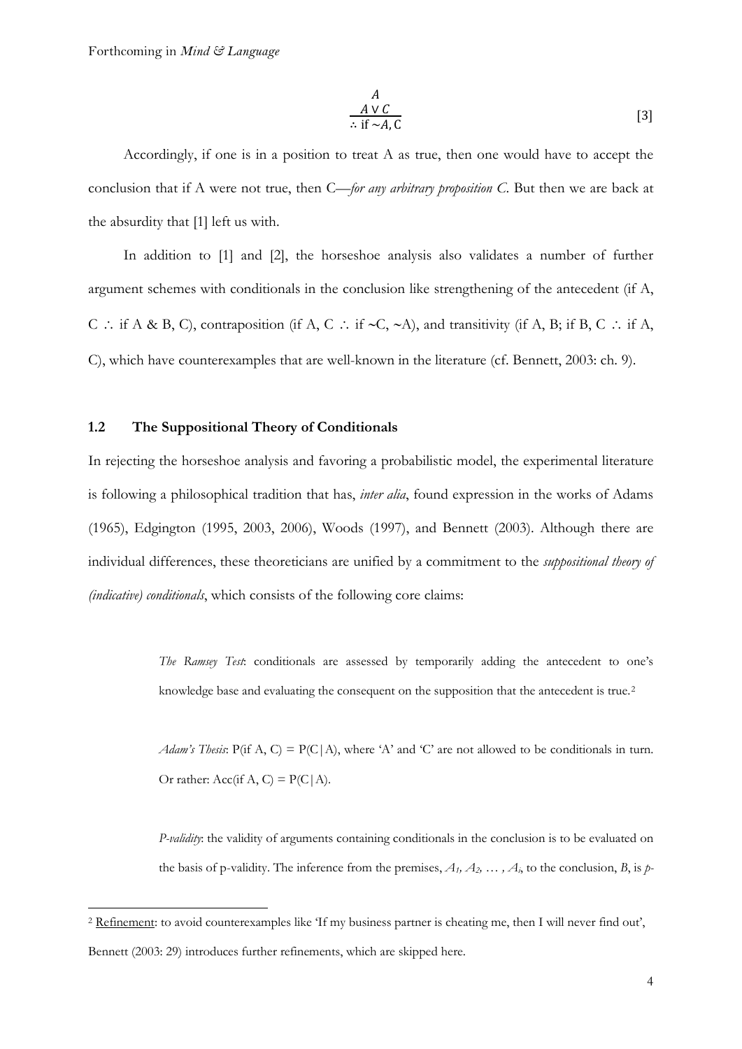$$
\frac{A \vee C}{\therefore \text{ if } \sim A, C}
$$
 [3]

Accordingly, if one is in a position to treat A as true, then one would have to accept the conclusion that if A were not true, then C—*for any arbitrary proposition C*. But then we are back at the absurdity that [1] left us with.

In addition to [1] and [2], the horseshoe analysis also validates a number of further argument schemes with conditionals in the conclusion like strengthening of the antecedent (if A, C ∴ if A & B, C), contraposition (if A, C ∴ if ∼C, ∼A), and transitivity (if A, B; if B, C ∴ if A, C), which have counterexamples that are well-known in the literature (cf. Bennett, 2003: ch. 9).

## **1.2 The Suppositional Theory of Conditionals**

In rejecting the horseshoe analysis and favoring a probabilistic model, the experimental literature is following a philosophical tradition that has, *inter alia*, found expression in the works of Adams (1965), Edgington (1995, 2003, 2006), Woods (1997), and Bennett (2003). Although there are individual differences, these theoreticians are unified by a commitment to the *suppositional theory of (indicative) conditionals*, which consists of the following core claims:

> *The Ramsey Test*: conditionals are assessed by temporarily adding the antecedent to one's knowledge base and evaluating the consequent on the supposition that the antecedent is true.<sup>[2](#page-4-0)</sup>

> *Adam's Thesis*:  $P(\text{if } A, C) = P(C|A)$ , where 'A' and 'C' are not allowed to be conditionals in turn. Or rather:  $Acc(i f A, C) = P(C|A)$ .

> *P-validity*: the validity of arguments containing conditionals in the conclusion is to be evaluated on the basis of p-validity. The inference from the premises,  $A_1, A_2, \ldots, A_k$  to the conclusion,  $B_2$ , is p-

 $\overline{a}$ 

<span id="page-4-0"></span><sup>2</sup> Refinement: to avoid counterexamples like 'If my business partner is cheating me, then I will never find out',

Bennett (2003: 29) introduces further refinements, which are skipped here.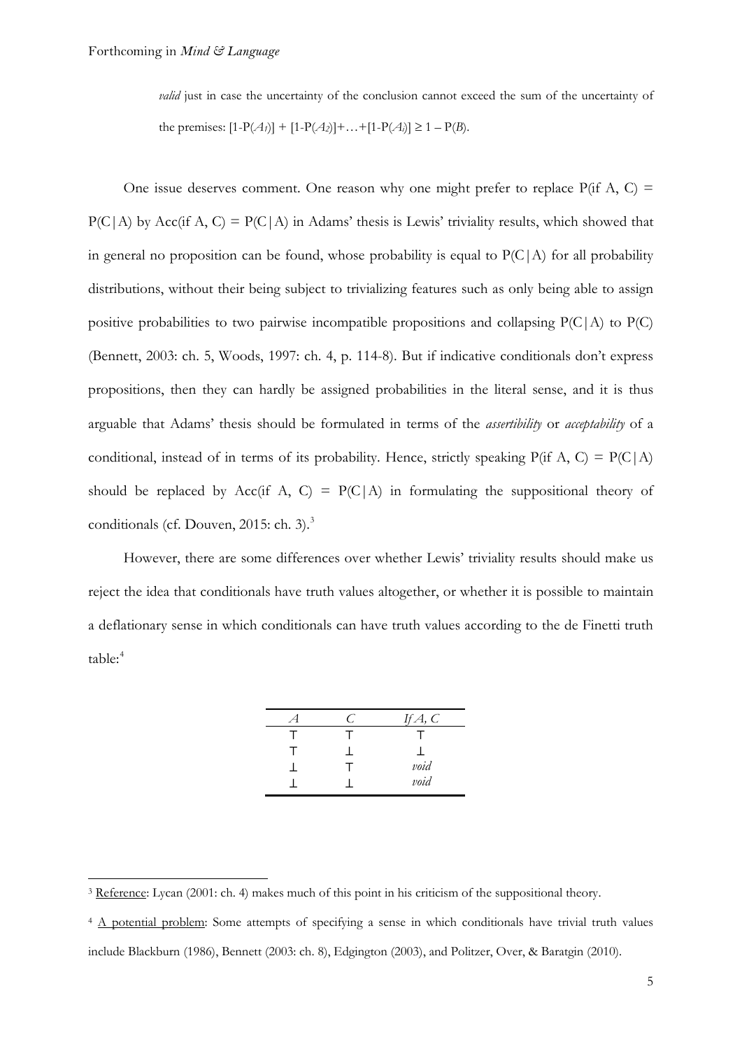*valid* just in case the uncertainty of the conclusion cannot exceed the sum of the uncertainty of the premises:  $[1-P(A<sub>1</sub>)] + [1-P(A<sub>2</sub>)] + ... + [1-P(A<sub>i</sub>)] \ge 1 - P(B)$ .

One issue deserves comment. One reason why one might prefer to replace  $P(if A, C)$  =  $P(C|A)$  by Acc(if A, C) =  $P(C|A)$  in Adams' thesis is Lewis' triviality results, which showed that in general no proposition can be found, whose probability is equal to  $P(C|A)$  for all probability distributions, without their being subject to trivializing features such as only being able to assign positive probabilities to two pairwise incompatible propositions and collapsing P(C|A) to P(C) (Bennett, 2003: ch. 5, Woods, 1997: ch. 4, p. 114-8). But if indicative conditionals don't express propositions, then they can hardly be assigned probabilities in the literal sense, and it is thus arguable that Adams' thesis should be formulated in terms of the *assertibility* or *acceptability* of a conditional, instead of in terms of its probability. Hence, strictly speaking  $P(if A, C) = P(C|A)$ should be replaced by Acc(if A, C) =  $P(C|A)$  in formulating the suppositional theory of conditionals (cf. Douven, 2015: ch. [3](#page-5-0)).<sup>3</sup>

However, there are some differences over whether Lewis' triviality results should make us reject the idea that conditionals have truth values altogether, or whether it is possible to maintain a deflationary sense in which conditionals can have truth values according to the de Finetti truth  $table:<sup>4</sup>$  $table:<sup>4</sup>$  $table:<sup>4</sup>$ 

|  | If $A, C$ |
|--|-----------|
|  |           |
|  |           |
|  | void      |
|  | void      |

 $\overline{a}$ 

<span id="page-5-0"></span><sup>&</sup>lt;sup>3</sup> Reference: Lycan (2001: ch. 4) makes much of this point in his criticism of the suppositional theory.

<span id="page-5-1"></span><sup>4</sup> A potential problem: Some attempts of specifying a sense in which conditionals have trivial truth values include Blackburn (1986), Bennett (2003: ch. 8), Edgington (2003), and Politzer, Over, & Baratgin (2010).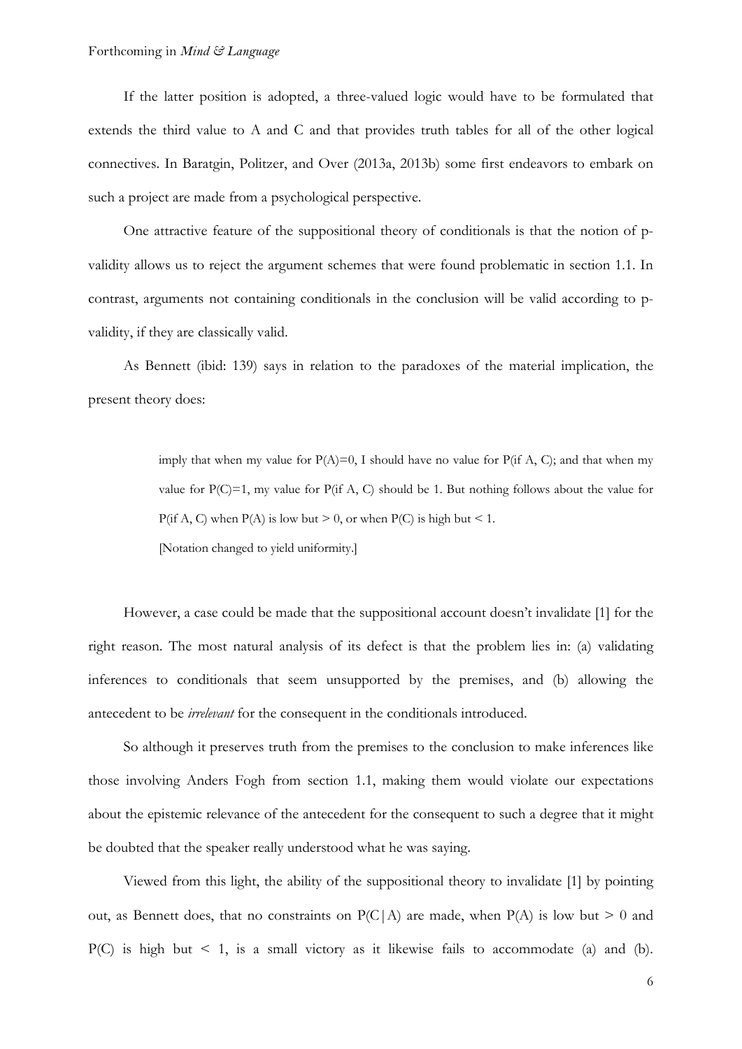If the latter position is adopted, a three-valued logic would have to be formulated that extends the third value to A and C and that provides truth tables for all of the other logical connectives. In Baratgin, Politzer, and Over (2013a, 2013b) some first endeavors to embark on such a project are made from a psychological perspective.

One attractive feature of the suppositional theory of conditionals is that the notion of pvalidity allows us to reject the argument schemes that were found problematic in section 1.1. In contrast, arguments not containing conditionals in the conclusion will be valid according to pvalidity, if they are classically valid.

As Bennett (ibid: 139) says in relation to the paradoxes of the material implication, the present theory does:

> imply that when my value for  $P(A)=0$ , I should have no value for  $P(if A, C)$ ; and that when my value for  $P(C)=1$ , my value for  $P(if A, C)$  should be 1. But nothing follows about the value for  $P(\text{if } A, C)$  when  $P(A)$  is low but  $> 0$ , or when  $P(C)$  is high but  $< 1$ . [Notation changed to yield uniformity.]

However, a case could be made that the suppositional account doesn't invalidate [1] for the right reason. The most natural analysis of its defect is that the problem lies in: (a) validating inferences to conditionals that seem unsupported by the premises, and (b) allowing the antecedent to be *irrelevant* for the consequent in the conditionals introduced.

So although it preserves truth from the premises to the conclusion to make inferences like those involving Anders Fogh from section 1.1, making them would violate our expectations about the epistemic relevance of the antecedent for the consequent to such a degree that it might be doubted that the speaker really understood what he was saying.

Viewed from this light, the ability of the suppositional theory to invalidate [1] by pointing out, as Bennett does, that no constraints on  $P(C|A)$  are made, when  $P(A)$  is low but  $\geq 0$  and  $P(C)$  is high but < 1, is a small victory as it likewise fails to accommodate (a) and (b).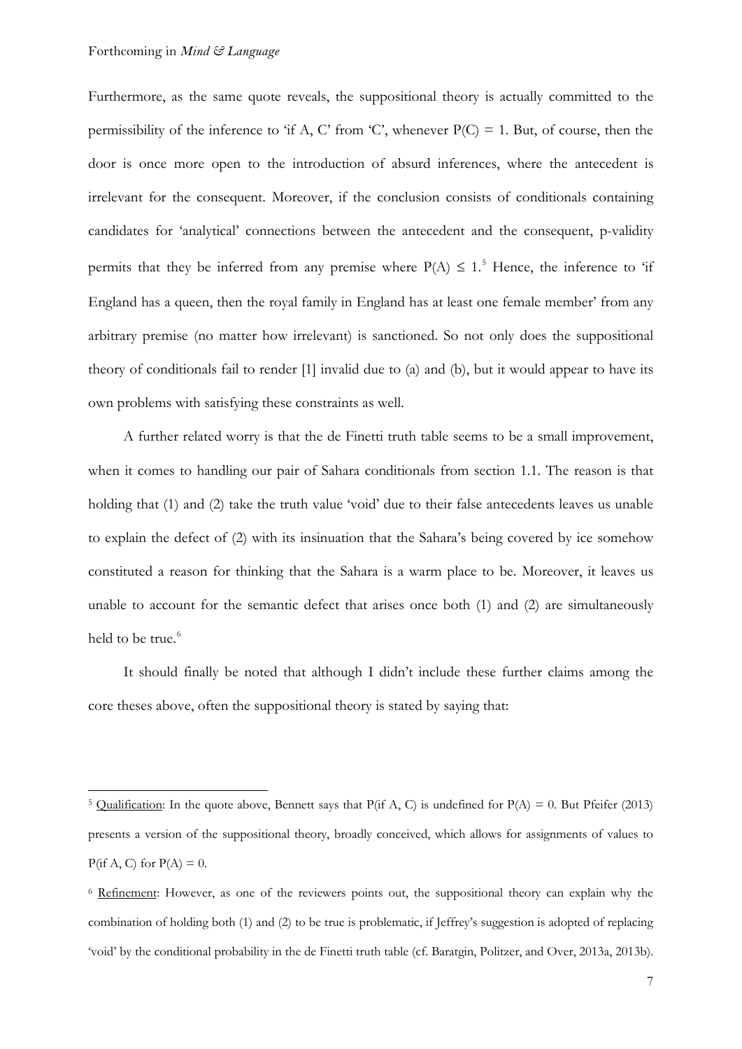Furthermore, as the same quote reveals, the suppositional theory is actually committed to the permissibility of the inference to 'if A, C' from 'C', whenever  $P(C) = 1$ . But, of course, then the door is once more open to the introduction of absurd inferences, where the antecedent is irrelevant for the consequent. Moreover, if the conclusion consists of conditionals containing candidates for 'analytical' connections between the antecedent and the consequent, p-validity permits that they be inferred from any premise where  $P(A) \le 1$ .<sup>[5](#page-7-0)</sup> Hence, the inference to 'if England has a queen, then the royal family in England has at least one female member' from any arbitrary premise (no matter how irrelevant) is sanctioned. So not only does the suppositional theory of conditionals fail to render [1] invalid due to (a) and (b), but it would appear to have its own problems with satisfying these constraints as well.

A further related worry is that the de Finetti truth table seems to be a small improvement, when it comes to handling our pair of Sahara conditionals from section 1.1. The reason is that holding that (1) and (2) take the truth value 'void' due to their false antecedents leaves us unable to explain the defect of (2) with its insinuation that the Sahara's being covered by ice somehow constituted a reason for thinking that the Sahara is a warm place to be. Moreover, it leaves us unable to account for the semantic defect that arises once both (1) and (2) are simultaneously held to be true.<sup>[6](#page-7-1)</sup>

It should finally be noted that although I didn't include these further claims among the core theses above, often the suppositional theory is stated by saying that:

<span id="page-7-0"></span><sup>&</sup>lt;sup>5</sup> Qualification: In the quote above, Bennett says that P(if A, C) is undefined for  $P(A) = 0$ . But Pfeifer (2013) presents a version of the suppositional theory, broadly conceived, which allows for assignments of values to  $P(i f A, C)$  for  $P(A) = 0$ .

<span id="page-7-1"></span><sup>&</sup>lt;sup>6</sup> Refinement: However, as one of the reviewers points out, the suppositional theory can explain why the combination of holding both (1) and (2) to be true is problematic, if Jeffrey's suggestion is adopted of replacing 'void' by the conditional probability in the de Finetti truth table (cf. Baratgin, Politzer, and Over, 2013a, 2013b).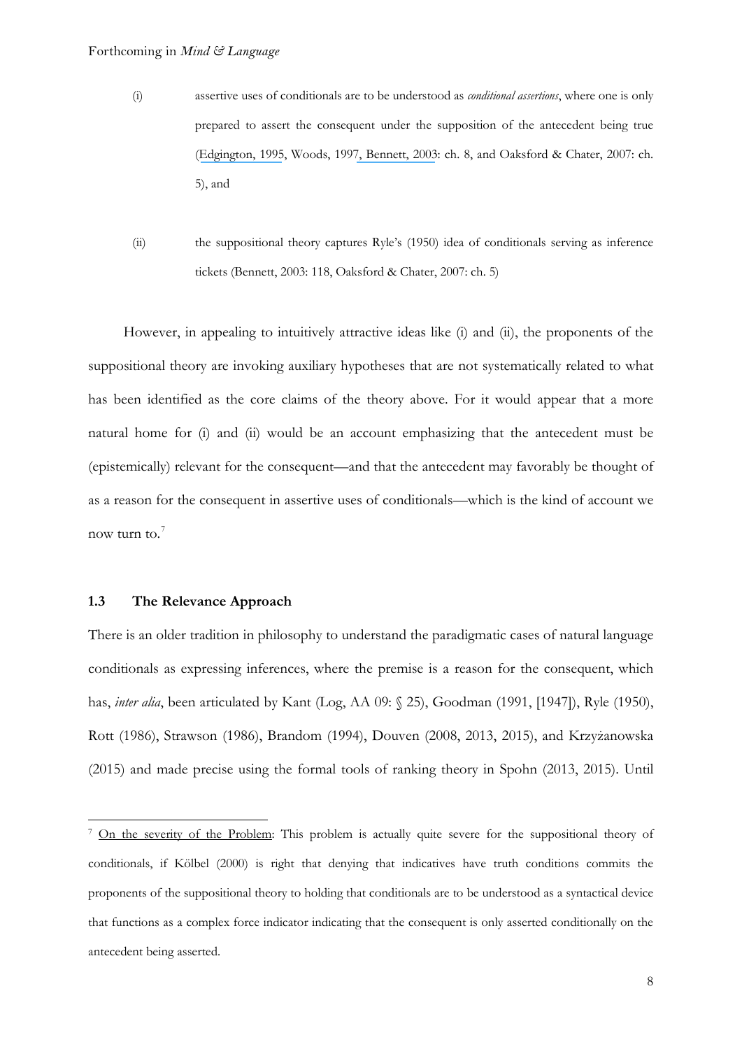- (i) assertive uses of conditionals are to be understood as *conditional assertions*, where one is only prepared to assert the consequent under the supposition of the antecedent being true ([Edgington, 1995](https://www.researchgate.net/publication/31273952_On_Conditionals?el=1_x_8&enrichId=rgreq-7cd8c817751de17319d11462b8d389db-XXX&enrichSource=Y292ZXJQYWdlOzI4MDExMDc2NztBUzoyNTI0OTE3NTc1MTg4NDhAMTQzNzIxMDEzNDM1OA==), Woods, 199[7, Bennett, 2003](https://www.researchgate.net/publication/290671173_A_Philosophical_Guide_to_Conditionals?el=1_x_8&enrichId=rgreq-7cd8c817751de17319d11462b8d389db-XXX&enrichSource=Y292ZXJQYWdlOzI4MDExMDc2NztBUzoyNTI0OTE3NTc1MTg4NDhAMTQzNzIxMDEzNDM1OA==): ch. 8, and Oaksford & Chater, 2007: ch. 5), and
- (ii) the suppositional theory captures Ryle's (1950) idea of conditionals serving as inference tickets (Bennett, 2003: 118, Oaksford & Chater, 2007: ch. 5)

However, in appealing to intuitively attractive ideas like (i) and (ii), the proponents of the suppositional theory are invoking auxiliary hypotheses that are not systematically related to what has been identified as the core claims of the theory above. For it would appear that a more natural home for (i) and (ii) would be an account emphasizing that the antecedent must be (epistemically) relevant for the consequent—and that the antecedent may favorably be thought of as a reason for the consequent in assertive uses of conditionals—which is the kind of account we now turn to.<sup>[7](#page-8-0)</sup>

# **1.3 The Relevance Approach**

 $\overline{a}$ 

There is an older tradition in philosophy to understand the paradigmatic cases of natural language conditionals as expressing inferences, where the premise is a reason for the consequent, which has, *inter alia*, been articulated by Kant (Log, AA 09: § 25), Goodman (1991, [1947]), Ryle (1950), Rott (1986), Strawson (1986), Brandom (1994), Douven (2008, 2013, 2015), and Krzyżanowska (2015) and made precise using the formal tools of ranking theory in Spohn (2013, 2015). Until

<span id="page-8-0"></span><sup>7</sup> On the severity of the Problem: This problem is actually quite severe for the suppositional theory of conditionals, if Kölbel (2000) is right that denying that indicatives have truth conditions commits the proponents of the suppositional theory to holding that conditionals are to be understood as a syntactical device that functions as a complex force indicator indicating that the consequent is only asserted conditionally on the antecedent being asserted.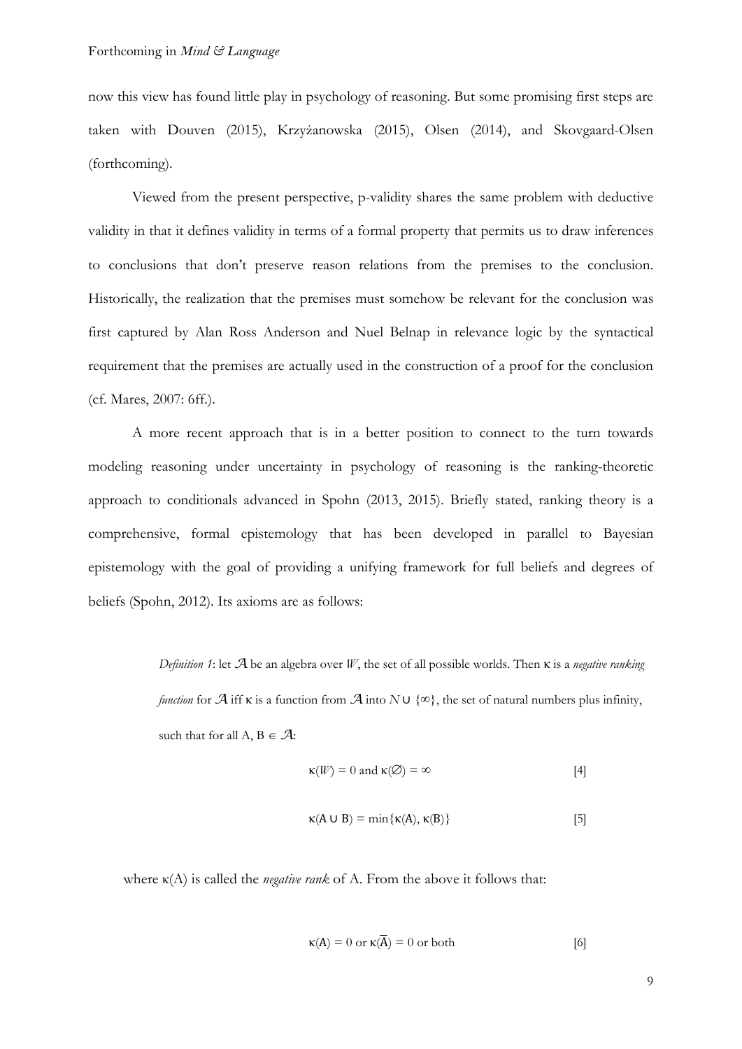now this view has found little play in psychology of reasoning. But some promising first steps are taken with Douven (2015), Krzyżanowska (2015), Olsen (2014), and Skovgaard-Olsen (forthcoming).

Viewed from the present perspective, p-validity shares the same problem with deductive validity in that it defines validity in terms of a formal property that permits us to draw inferences to conclusions that don't preserve reason relations from the premises to the conclusion. Historically, the realization that the premises must somehow be relevant for the conclusion was first captured by Alan Ross Anderson and Nuel Belnap in relevance logic by the syntactical requirement that the premises are actually used in the construction of a proof for the conclusion (cf. Mares, 2007: 6ff.).

A more recent approach that is in a better position to connect to the turn towards modeling reasoning under uncertainty in psychology of reasoning is the ranking-theoretic approach to conditionals advanced in Spohn (2013, 2015). Briefly stated, ranking theory is a comprehensive, formal epistemology that has been developed in parallel to Bayesian epistemology with the goal of providing a unifying framework for full beliefs and degrees of beliefs (Spohn, 2012). Its axioms are as follows:

> *Definition 1*: let *A* be an algebra over *W*, the set of all possible worlds. Then κ is a *negative ranking function* for  $\hat{A}$  iff  $\kappa$  is a function from  $\hat{A}$  into  $N \cup {\infty}$ , the set of natural numbers plus infinity, such that for all  $A, B \in \mathcal{A}$ :

$$
\kappa(W) = 0 \text{ and } \kappa(\emptyset) = \infty \tag{4}
$$

$$
\kappa(A \cup B) = \min\{\kappa(A), \kappa(B)\}\tag{5}
$$

where κ(A) is called the *negative rank* of A. From the above it follows that:

$$
\kappa(A) = 0 \text{ or } \kappa(\overline{A}) = 0 \text{ or both} \tag{6}
$$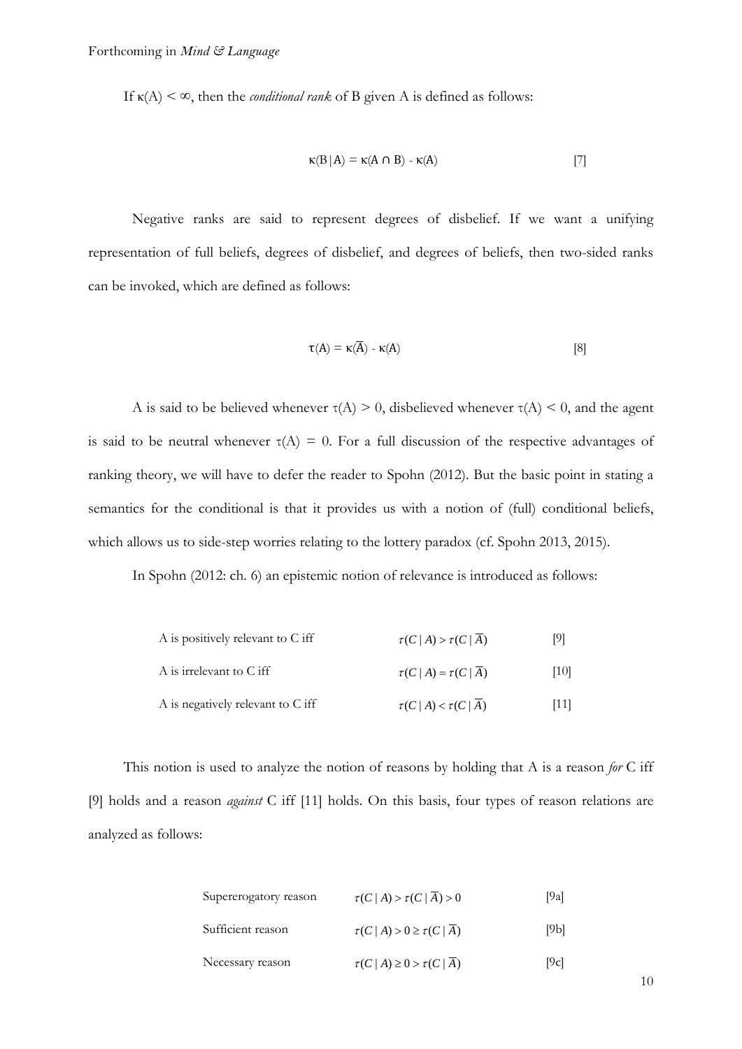If  $\kappa(A) < \infty$ , then the *conditional rank* of B given A is defined as follows:

$$
\kappa(B|A) = \kappa(A \cap B) - \kappa(A) \tag{7}
$$

Negative ranks are said to represent degrees of disbelief. If we want a unifying representation of full beliefs, degrees of disbelief, and degrees of beliefs, then two-sided ranks can be invoked, which are defined as follows:

$$
\tau(A) = \kappa(\overline{A}) - \kappa(A) \tag{8}
$$

A is said to be believed whenever  $\tau(A) > 0$ , disbelieved whenever  $\tau(A) \le 0$ , and the agent is said to be neutral whenever  $\tau(A) = 0$ . For a full discussion of the respective advantages of ranking theory, we will have to defer the reader to Spohn (2012). But the basic point in stating a semantics for the conditional is that it provides us with a notion of (full) conditional beliefs, which allows us to side-step worries relating to the lottery paradox (cf. Spohn 2013, 2015).

In Spohn (2012: ch. 6) an epistemic notion of relevance is introduced as follows:

| A is positively relevant to C iff | $\tau(C   A) > \tau(C   \overline{A})$ | 191    |
|-----------------------------------|----------------------------------------|--------|
| A is irrelevant to C iff          | $\tau(C A) = \tau(C A)$                | $[10]$ |
| A is negatively relevant to C iff | $\tau(C   A) < \tau(C   A)$            | $[11]$ |

This notion is used to analyze the notion of reasons by holding that A is a reason *for* C iff [9] holds and a reason *against* C iff [11] holds. On this basis, four types of reason relations are analyzed as follows:

| Supererogatory reason | $\tau(C   A) > \tau(C   \overline{A}) > 0$    | 9a             |
|-----------------------|-----------------------------------------------|----------------|
| Sufficient reason     | $\tau(C   A) > 0 \geq \tau(C   A)$            | 9 <sub>b</sub> |
| Necessary reason      | $\tau(C   A) \geq 0 > \tau(C   \overline{A})$ | 9c             |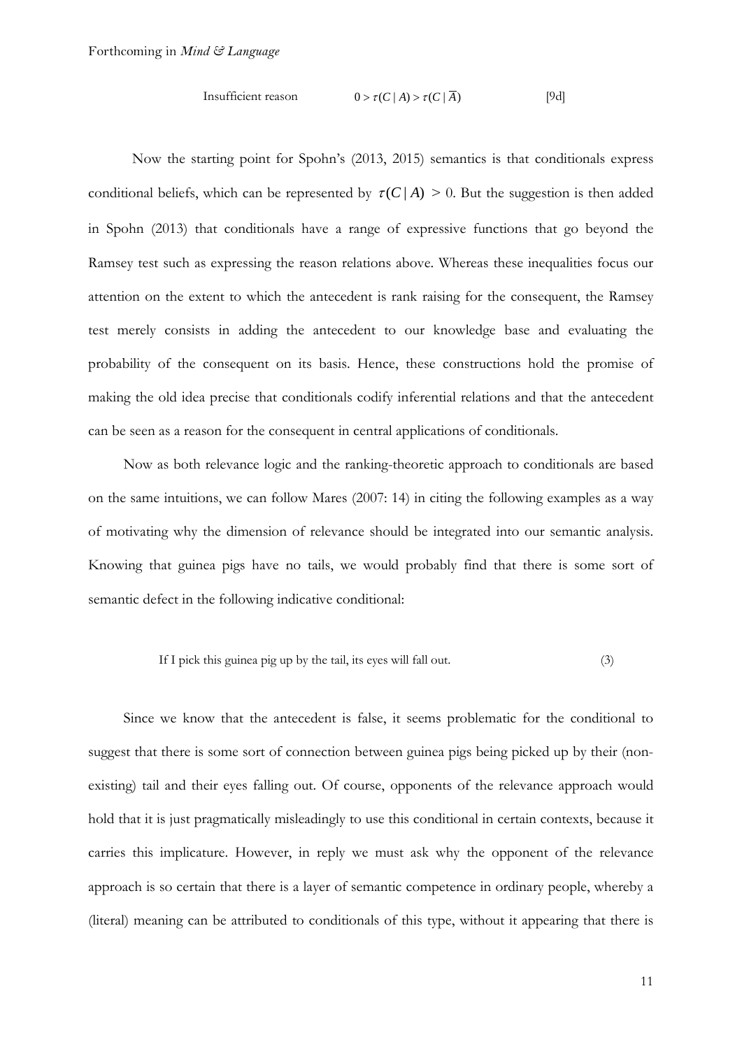$$
Insufficient reason \t\t 0 > \tau(C \mid A) > \tau(C \mid \overline{A}) \t\t [9d]
$$

Now the starting point for Spohn's (2013, 2015) semantics is that conditionals express conditional beliefs, which can be represented by  $\tau(C|A) > 0$ . But the suggestion is then added in Spohn (2013) that conditionals have a range of expressive functions that go beyond the Ramsey test such as expressing the reason relations above. Whereas these inequalities focus our attention on the extent to which the antecedent is rank raising for the consequent, the Ramsey test merely consists in adding the antecedent to our knowledge base and evaluating the probability of the consequent on its basis. Hence, these constructions hold the promise of making the old idea precise that conditionals codify inferential relations and that the antecedent can be seen as a reason for the consequent in central applications of conditionals.

Now as both relevance logic and the ranking-theoretic approach to conditionals are based on the same intuitions, we can follow Mares (2007: 14) in citing the following examples as a way of motivating why the dimension of relevance should be integrated into our semantic analysis. Knowing that guinea pigs have no tails, we would probably find that there is some sort of semantic defect in the following indicative conditional:

If I pick this guinea pig up by the tail, its eyes will fall out. 
$$
(3)
$$

Since we know that the antecedent is false, it seems problematic for the conditional to suggest that there is some sort of connection between guinea pigs being picked up by their (nonexisting) tail and their eyes falling out. Of course, opponents of the relevance approach would hold that it is just pragmatically misleadingly to use this conditional in certain contexts, because it carries this implicature. However, in reply we must ask why the opponent of the relevance approach is so certain that there is a layer of semantic competence in ordinary people, whereby a (literal) meaning can be attributed to conditionals of this type, without it appearing that there is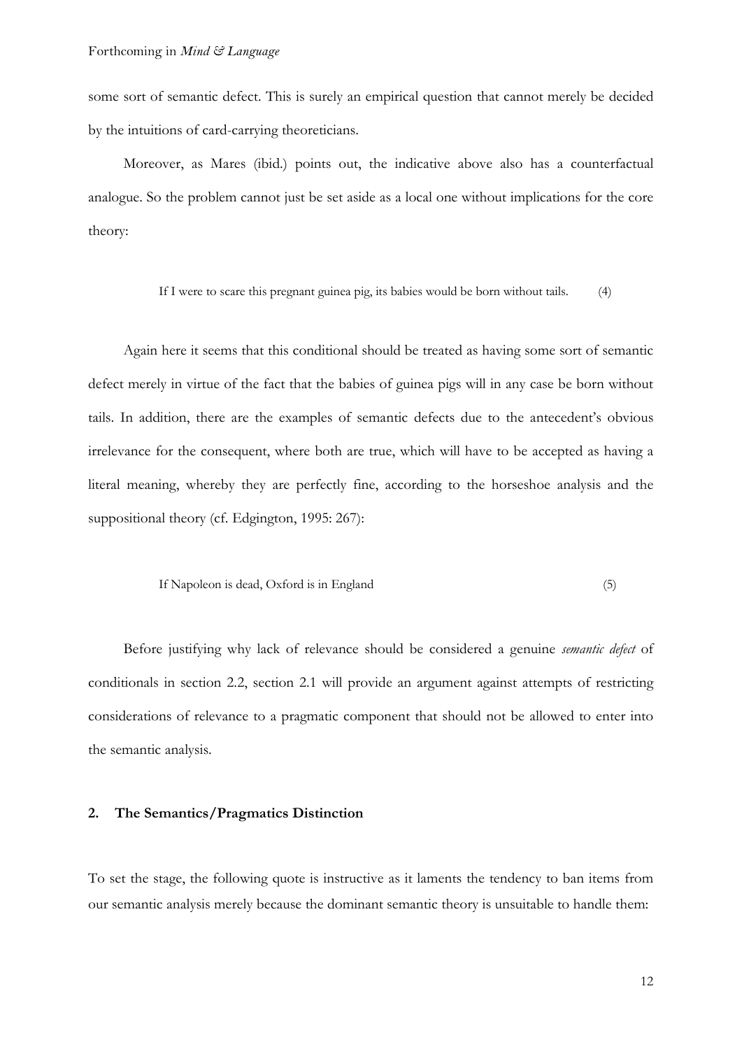some sort of semantic defect. This is surely an empirical question that cannot merely be decided by the intuitions of card-carrying theoreticians.

Moreover, as Mares (ibid.) points out, the indicative above also has a counterfactual analogue. So the problem cannot just be set aside as a local one without implications for the core theory:

If I were to scare this pregnant guinea pig, its babies would be born without tails. (4)

Again here it seems that this conditional should be treated as having some sort of semantic defect merely in virtue of the fact that the babies of guinea pigs will in any case be born without tails. In addition, there are the examples of semantic defects due to the antecedent's obvious irrelevance for the consequent, where both are true, which will have to be accepted as having a literal meaning, whereby they are perfectly fine, according to the horseshoe analysis and the suppositional theory (cf. Edgington, 1995: 267):

If Napoleon is dead, Oxford is in England 
$$
(5)
$$

Before justifying why lack of relevance should be considered a genuine *semantic defect* of conditionals in section 2.2, section 2.1 will provide an argument against attempts of restricting considerations of relevance to a pragmatic component that should not be allowed to enter into the semantic analysis.

# **2. The Semantics/Pragmatics Distinction**

To set the stage, the following quote is instructive as it laments the tendency to ban items from our semantic analysis merely because the dominant semantic theory is unsuitable to handle them: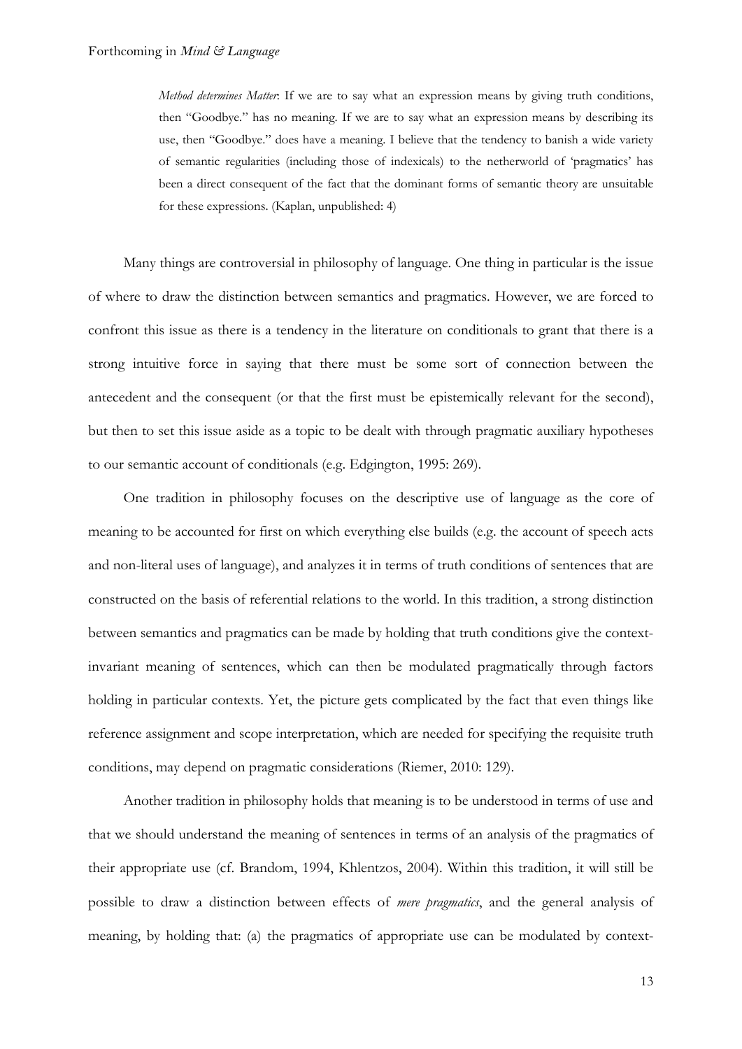*Method determines Matter*: If we are to say what an expression means by giving truth conditions, then "Goodbye." has no meaning. If we are to say what an expression means by describing its use, then "Goodbye." does have a meaning. I believe that the tendency to banish a wide variety of semantic regularities (including those of indexicals) to the netherworld of 'pragmatics' has been a direct consequent of the fact that the dominant forms of semantic theory are unsuitable for these expressions. (Kaplan, unpublished: 4)

Many things are controversial in philosophy of language. One thing in particular is the issue of where to draw the distinction between semantics and pragmatics. However, we are forced to confront this issue as there is a tendency in the literature on conditionals to grant that there is a strong intuitive force in saying that there must be some sort of connection between the antecedent and the consequent (or that the first must be epistemically relevant for the second), but then to set this issue aside as a topic to be dealt with through pragmatic auxiliary hypotheses to our semantic account of conditionals (e.g. Edgington, 1995: 269).

One tradition in philosophy focuses on the descriptive use of language as the core of meaning to be accounted for first on which everything else builds (e.g. the account of speech acts and non-literal uses of language), and analyzes it in terms of truth conditions of sentences that are constructed on the basis of referential relations to the world. In this tradition, a strong distinction between semantics and pragmatics can be made by holding that truth conditions give the contextinvariant meaning of sentences, which can then be modulated pragmatically through factors holding in particular contexts. Yet, the picture gets complicated by the fact that even things like reference assignment and scope interpretation, which are needed for specifying the requisite truth conditions, may depend on pragmatic considerations (Riemer, 2010: 129).

Another tradition in philosophy holds that meaning is to be understood in terms of use and that we should understand the meaning of sentences in terms of an analysis of the pragmatics of their appropriate use (cf. Brandom, 1994, Khlentzos, 2004). Within this tradition, it will still be possible to draw a distinction between effects of *mere pragmatics*, and the general analysis of meaning, by holding that: (a) the pragmatics of appropriate use can be modulated by context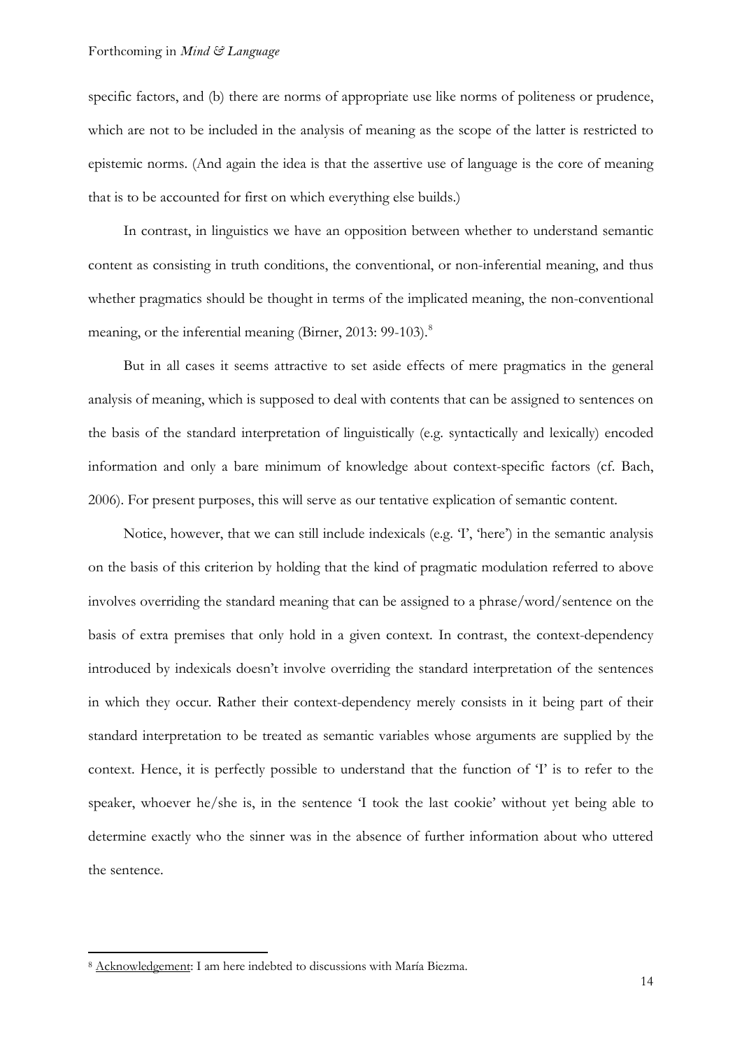specific factors, and (b) there are norms of appropriate use like norms of politeness or prudence, which are not to be included in the analysis of meaning as the scope of the latter is restricted to epistemic norms. (And again the idea is that the assertive use of language is the core of meaning that is to be accounted for first on which everything else builds.)

In contrast, in linguistics we have an opposition between whether to understand semantic content as consisting in truth conditions, the conventional, or non-inferential meaning, and thus whether pragmatics should be thought in terms of the implicated meaning, the non-conventional meaning, or the inferential meaning (Birner, 2013: 99-103).<sup>[8](#page-14-0)</sup>

But in all cases it seems attractive to set aside effects of mere pragmatics in the general analysis of meaning, which is supposed to deal with contents that can be assigned to sentences on the basis of the standard interpretation of linguistically (e.g. syntactically and lexically) encoded information and only a bare minimum of knowledge about context-specific factors (cf. Bach, 2006). For present purposes, this will serve as our tentative explication of semantic content.

Notice, however, that we can still include indexicals (e.g. 'I', 'here') in the semantic analysis on the basis of this criterion by holding that the kind of pragmatic modulation referred to above involves overriding the standard meaning that can be assigned to a phrase/word/sentence on the basis of extra premises that only hold in a given context. In contrast, the context-dependency introduced by indexicals doesn't involve overriding the standard interpretation of the sentences in which they occur. Rather their context-dependency merely consists in it being part of their standard interpretation to be treated as semantic variables whose arguments are supplied by the context. Hence, it is perfectly possible to understand that the function of 'I' is to refer to the speaker, whoever he/she is, in the sentence 'I took the last cookie' without yet being able to determine exactly who the sinner was in the absence of further information about who uttered the sentence.

 $\overline{a}$ 

<span id="page-14-0"></span><sup>8</sup> Acknowledgement: I am here indebted to discussions with María Biezma.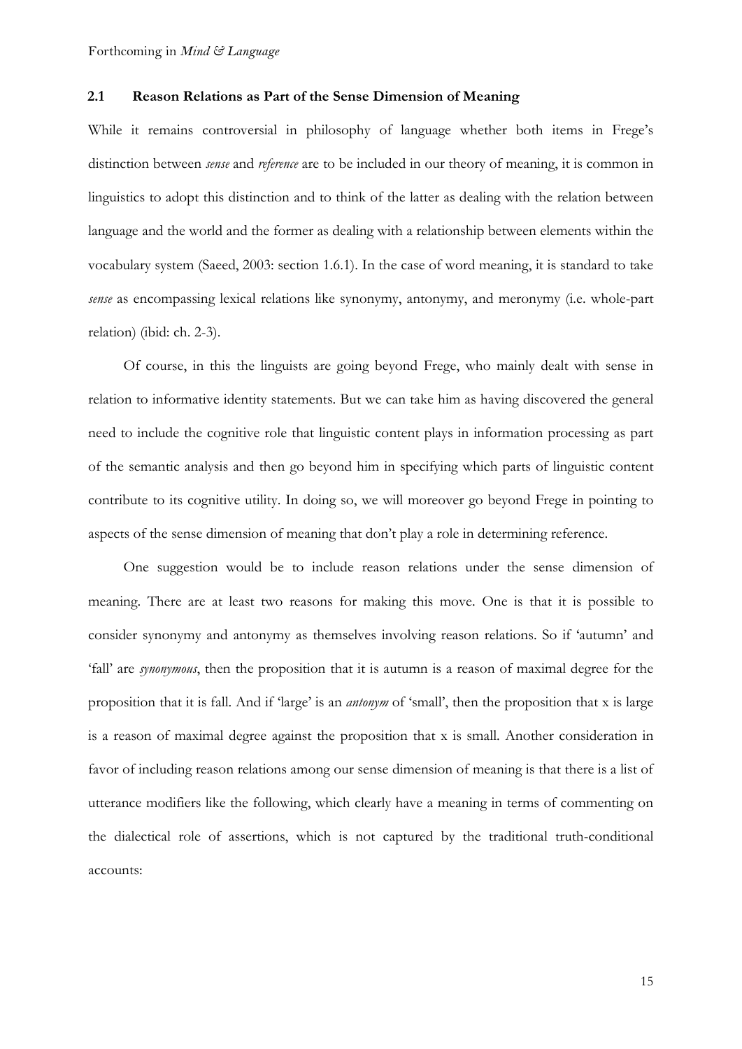# **2.1 Reason Relations as Part of the Sense Dimension of Meaning**

While it remains controversial in philosophy of language whether both items in Frege's distinction between *sense* and *reference* are to be included in our theory of meaning, it is common in linguistics to adopt this distinction and to think of the latter as dealing with the relation between language and the world and the former as dealing with a relationship between elements within the vocabulary system (Saeed, 2003: section 1.6.1). In the case of word meaning, it is standard to take *sense* as encompassing lexical relations like synonymy, antonymy, and meronymy (i.e. whole-part relation) (ibid: ch. 2-3).

Of course, in this the linguists are going beyond Frege, who mainly dealt with sense in relation to informative identity statements. But we can take him as having discovered the general need to include the cognitive role that linguistic content plays in information processing as part of the semantic analysis and then go beyond him in specifying which parts of linguistic content contribute to its cognitive utility. In doing so, we will moreover go beyond Frege in pointing to aspects of the sense dimension of meaning that don't play a role in determining reference.

One suggestion would be to include reason relations under the sense dimension of meaning. There are at least two reasons for making this move. One is that it is possible to consider synonymy and antonymy as themselves involving reason relations. So if 'autumn' and 'fall' are *synonymous*, then the proposition that it is autumn is a reason of maximal degree for the proposition that it is fall. And if 'large' is an *antonym* of 'small', then the proposition that x is large is a reason of maximal degree against the proposition that x is small. Another consideration in favor of including reason relations among our sense dimension of meaning is that there is a list of utterance modifiers like the following, which clearly have a meaning in terms of commenting on the dialectical role of assertions, which is not captured by the traditional truth-conditional accounts: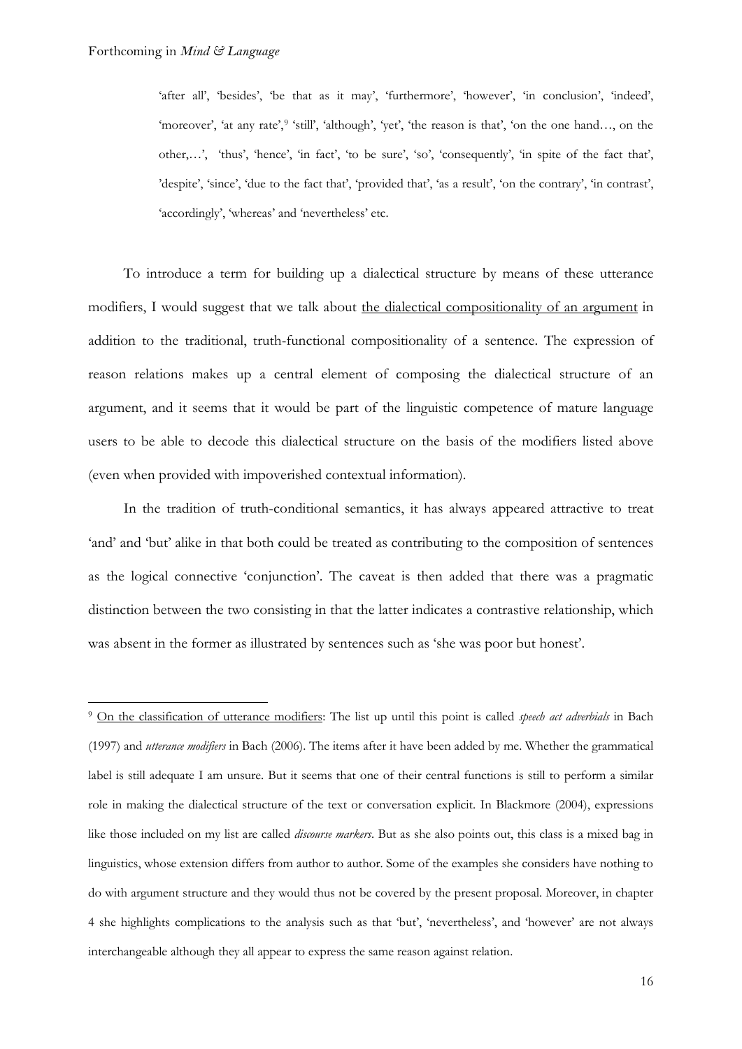'after all', 'besides', 'be that as it may', 'furthermore', 'however', 'in conclusion', 'indeed', 'moreover', 'at any rate',[9](#page-16-0) 'still', 'although', 'yet', 'the reason is that', 'on the one hand..., on the other,…', 'thus', 'hence', 'in fact', 'to be sure', 'so', 'consequently', 'in spite of the fact that', 'despite', 'since', 'due to the fact that', 'provided that', 'as a result', 'on the contrary', 'in contrast', 'accordingly', 'whereas' and 'nevertheless' etc.

To introduce a term for building up a dialectical structure by means of these utterance modifiers, I would suggest that we talk about the dialectical compositionality of an argument in addition to the traditional, truth-functional compositionality of a sentence. The expression of reason relations makes up a central element of composing the dialectical structure of an argument, and it seems that it would be part of the linguistic competence of mature language users to be able to decode this dialectical structure on the basis of the modifiers listed above (even when provided with impoverished contextual information).

In the tradition of truth-conditional semantics, it has always appeared attractive to treat 'and' and 'but' alike in that both could be treated as contributing to the composition of sentences as the logical connective 'conjunction'. The caveat is then added that there was a pragmatic distinction between the two consisting in that the latter indicates a contrastive relationship, which was absent in the former as illustrated by sentences such as 'she was poor but honest'.

<span id="page-16-0"></span><sup>9</sup> On the classification of utterance modifiers: The list up until this point is called *speech act adverbials* in Bach (1997) and *utterance modifiers* in Bach (2006). The items after it have been added by me. Whether the grammatical label is still adequate I am unsure. But it seems that one of their central functions is still to perform a similar role in making the dialectical structure of the text or conversation explicit. In Blackmore (2004), expressions like those included on my list are called *discourse markers*. But as she also points out, this class is a mixed bag in linguistics, whose extension differs from author to author. Some of the examples she considers have nothing to do with argument structure and they would thus not be covered by the present proposal. Moreover, in chapter 4 she highlights complications to the analysis such as that 'but', 'nevertheless', and 'however' are not always interchangeable although they all appear to express the same reason against relation.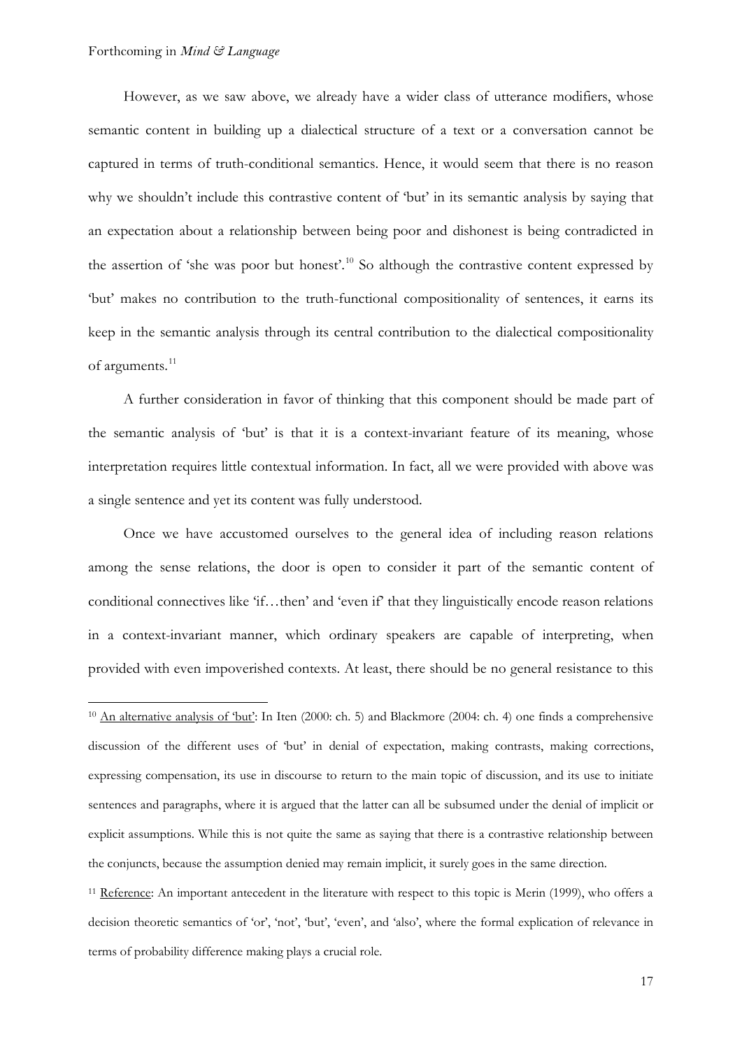However, as we saw above, we already have a wider class of utterance modifiers, whose semantic content in building up a dialectical structure of a text or a conversation cannot be captured in terms of truth-conditional semantics. Hence, it would seem that there is no reason why we shouldn't include this contrastive content of 'but' in its semantic analysis by saying that an expectation about a relationship between being poor and dishonest is being contradicted in the assertion of 'she was poor but honest'.<sup>[10](#page-17-0)</sup> So although the contrastive content expressed by 'but' makes no contribution to the truth-functional compositionality of sentences, it earns its keep in the semantic analysis through its central contribution to the dialectical compositionality of arguments.<sup>[11](#page-17-1)</sup>

A further consideration in favor of thinking that this component should be made part of the semantic analysis of 'but' is that it is a context-invariant feature of its meaning, whose interpretation requires little contextual information. In fact, all we were provided with above was a single sentence and yet its content was fully understood.

Once we have accustomed ourselves to the general idea of including reason relations among the sense relations, the door is open to consider it part of the semantic content of conditional connectives like 'if...then' and 'even if' that they linguistically encode reason relations in a context-invariant manner, which ordinary speakers are capable of interpreting, when provided with even impoverished contexts. At least, there should be no general resistance to this

<span id="page-17-0"></span><sup>10</sup> An alternative analysis of 'but': In Iten (2000: ch. 5) and Blackmore (2004: ch. 4) one finds a comprehensive discussion of the different uses of 'but' in denial of expectation, making contrasts, making corrections, expressing compensation, its use in discourse to return to the main topic of discussion, and its use to initiate sentences and paragraphs, where it is argued that the latter can all be subsumed under the denial of implicit or explicit assumptions. While this is not quite the same as saying that there is a contrastive relationship between the conjuncts, because the assumption denied may remain implicit, it surely goes in the same direction.

<span id="page-17-1"></span><sup>&</sup>lt;sup>11</sup> Reference: An important antecedent in the literature with respect to this topic is Merin (1999), who offers a decision theoretic semantics of 'or', 'not', 'but', 'even', and 'also', where the formal explication of relevance in terms of probability difference making plays a crucial role.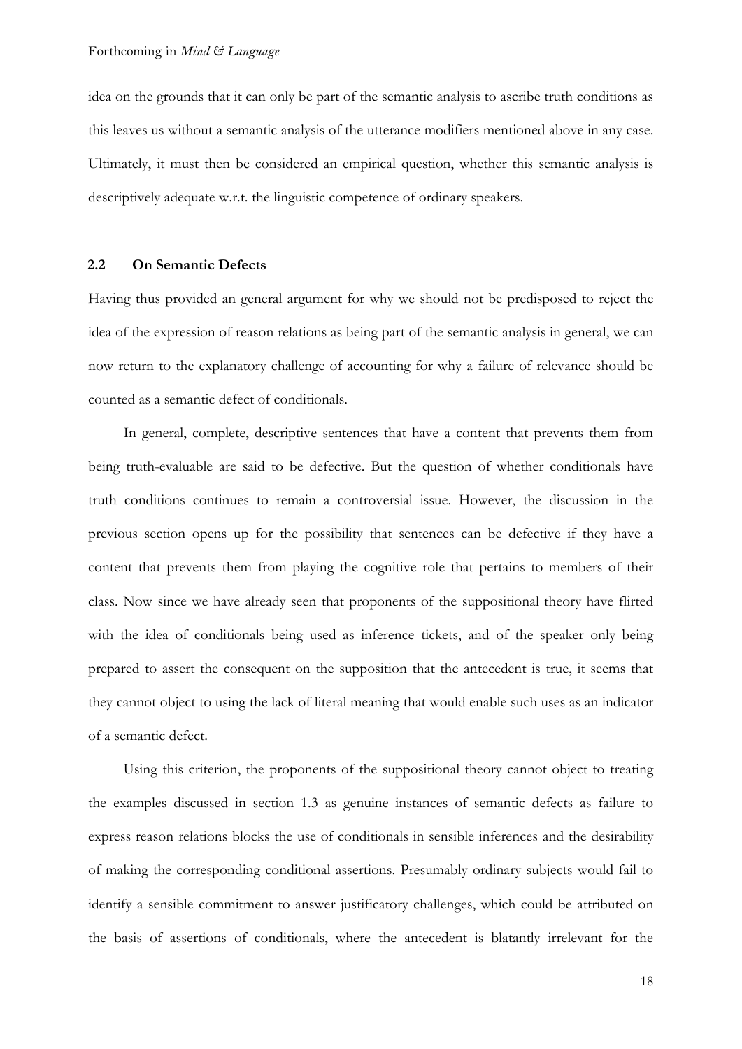idea on the grounds that it can only be part of the semantic analysis to ascribe truth conditions as this leaves us without a semantic analysis of the utterance modifiers mentioned above in any case. Ultimately, it must then be considered an empirical question, whether this semantic analysis is descriptively adequate w.r.t. the linguistic competence of ordinary speakers.

# **2.2 On Semantic Defects**

Having thus provided an general argument for why we should not be predisposed to reject the idea of the expression of reason relations as being part of the semantic analysis in general, we can now return to the explanatory challenge of accounting for why a failure of relevance should be counted as a semantic defect of conditionals.

In general, complete, descriptive sentences that have a content that prevents them from being truth-evaluable are said to be defective. But the question of whether conditionals have truth conditions continues to remain a controversial issue. However, the discussion in the previous section opens up for the possibility that sentences can be defective if they have a content that prevents them from playing the cognitive role that pertains to members of their class. Now since we have already seen that proponents of the suppositional theory have flirted with the idea of conditionals being used as inference tickets, and of the speaker only being prepared to assert the consequent on the supposition that the antecedent is true, it seems that they cannot object to using the lack of literal meaning that would enable such uses as an indicator of a semantic defect.

Using this criterion, the proponents of the suppositional theory cannot object to treating the examples discussed in section 1.3 as genuine instances of semantic defects as failure to express reason relations blocks the use of conditionals in sensible inferences and the desirability of making the corresponding conditional assertions. Presumably ordinary subjects would fail to identify a sensible commitment to answer justificatory challenges, which could be attributed on the basis of assertions of conditionals, where the antecedent is blatantly irrelevant for the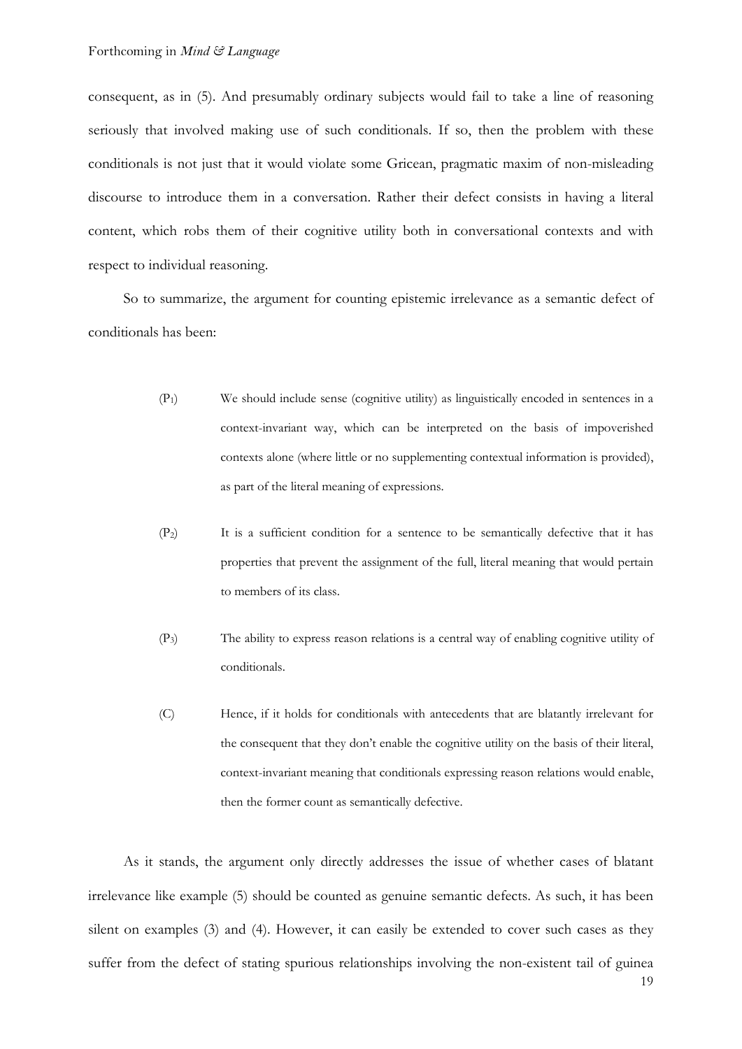consequent, as in (5). And presumably ordinary subjects would fail to take a line of reasoning seriously that involved making use of such conditionals. If so, then the problem with these conditionals is not just that it would violate some Gricean, pragmatic maxim of non-misleading discourse to introduce them in a conversation. Rather their defect consists in having a literal content, which robs them of their cognitive utility both in conversational contexts and with respect to individual reasoning.

So to summarize, the argument for counting epistemic irrelevance as a semantic defect of conditionals has been:

- $(P_1)$  We should include sense (cognitive utility) as linguistically encoded in sentences in a context-invariant way, which can be interpreted on the basis of impoverished contexts alone (where little or no supplementing contextual information is provided), as part of the literal meaning of expressions.
- (P2) It is a sufficient condition for a sentence to be semantically defective that it has properties that prevent the assignment of the full, literal meaning that would pertain to members of its class.
- (P3) The ability to express reason relations is a central way of enabling cognitive utility of conditionals.
- (C) Hence, if it holds for conditionals with antecedents that are blatantly irrelevant for the consequent that they don't enable the cognitive utility on the basis of their literal, context-invariant meaning that conditionals expressing reason relations would enable, then the former count as semantically defective.

As it stands, the argument only directly addresses the issue of whether cases of blatant irrelevance like example (5) should be counted as genuine semantic defects. As such, it has been silent on examples (3) and (4). However, it can easily be extended to cover such cases as they suffer from the defect of stating spurious relationships involving the non-existent tail of guinea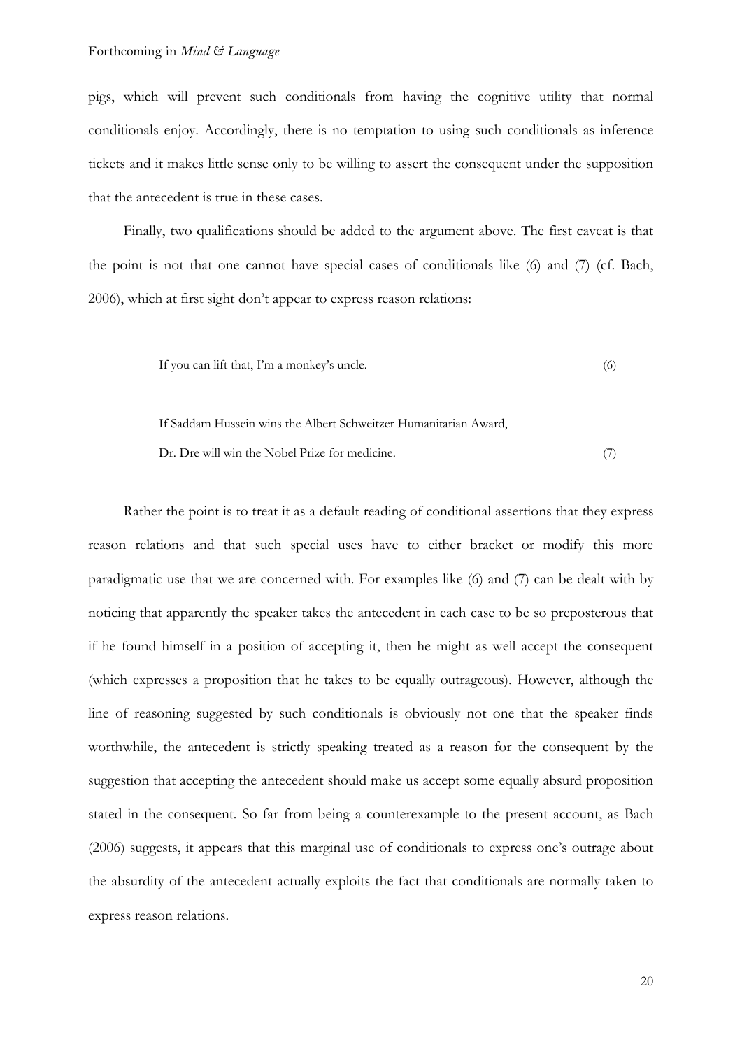pigs, which will prevent such conditionals from having the cognitive utility that normal conditionals enjoy. Accordingly, there is no temptation to using such conditionals as inference tickets and it makes little sense only to be willing to assert the consequent under the supposition that the antecedent is true in these cases.

Finally, two qualifications should be added to the argument above. The first caveat is that the point is not that one cannot have special cases of conditionals like (6) and (7) (cf. Bach, 2006), which at first sight don't appear to express reason relations:

If you can lift that, 
$$
I'm
$$
 a monkey's uncle. 
$$
\tag{6}
$$

If Saddam Hussein wins the Albert Schweitzer Humanitarian Award, Dr. Dre will win the Nobel Prize for medicine. (7)

Rather the point is to treat it as a default reading of conditional assertions that they express reason relations and that such special uses have to either bracket or modify this more paradigmatic use that we are concerned with. For examples like (6) and (7) can be dealt with by noticing that apparently the speaker takes the antecedent in each case to be so preposterous that if he found himself in a position of accepting it, then he might as well accept the consequent (which expresses a proposition that he takes to be equally outrageous). However, although the line of reasoning suggested by such conditionals is obviously not one that the speaker finds worthwhile, the antecedent is strictly speaking treated as a reason for the consequent by the suggestion that accepting the antecedent should make us accept some equally absurd proposition stated in the consequent*.* So far from being a counterexample to the present account, as Bach (2006) suggests, it appears that this marginal use of conditionals to express one's outrage about the absurdity of the antecedent actually exploits the fact that conditionals are normally taken to express reason relations.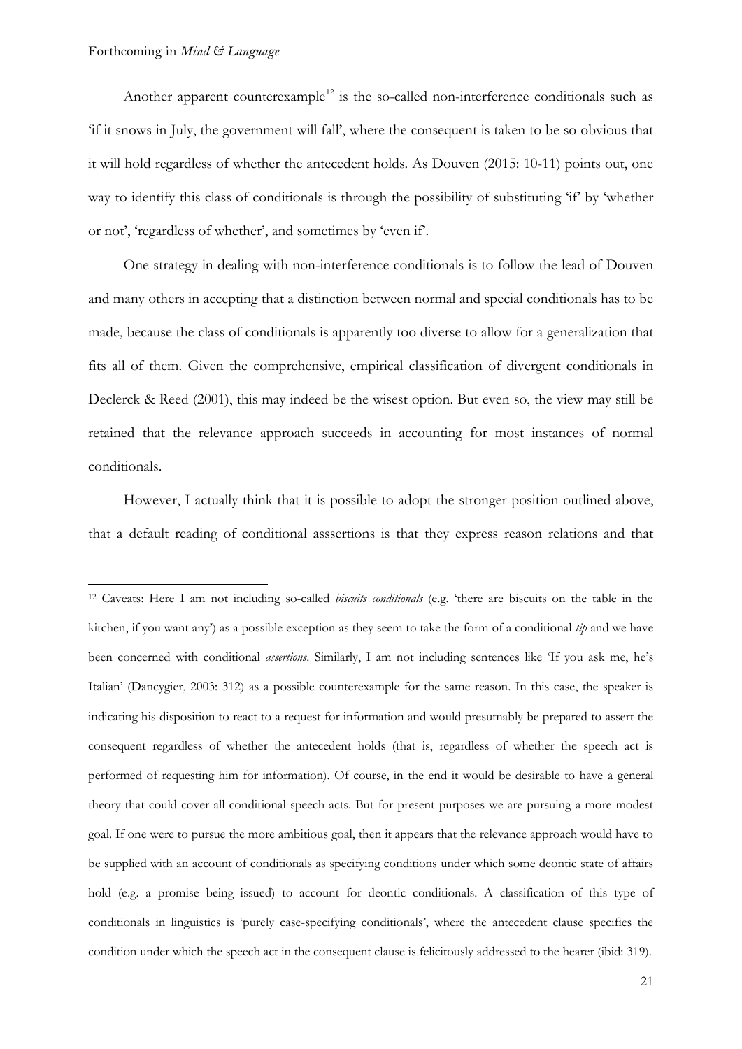Another apparent counterexample<sup>[12](#page-21-0)</sup> is the so-called non-interference conditionals such as 'if it snows in July, the government will fall', where the consequent is taken to be so obvious that it will hold regardless of whether the antecedent holds. As Douven (2015: 10-11) points out, one way to identify this class of conditionals is through the possibility of substituting 'if' by 'whether or not', 'regardless of whether', and sometimes by 'even if'.

One strategy in dealing with non-interference conditionals is to follow the lead of Douven and many others in accepting that a distinction between normal and special conditionals has to be made, because the class of conditionals is apparently too diverse to allow for a generalization that fits all of them. Given the comprehensive, empirical classification of divergent conditionals in Declerck & Reed (2001), this may indeed be the wisest option. But even so, the view may still be retained that the relevance approach succeeds in accounting for most instances of normal conditionals.

However, I actually think that it is possible to adopt the stronger position outlined above, that a default reading of conditional asssertions is that they express reason relations and that

<span id="page-21-0"></span><sup>12</sup> Caveats: Here I am not including so-called *biscuits conditionals* (e.g. 'there are biscuits on the table in the kitchen, if you want any') as a possible exception as they seem to take the form of a conditional *tip* and we have been concerned with conditional *assertions*. Similarly, I am not including sentences like 'If you ask me, he's Italian' (Dancygier, 2003: 312) as a possible counterexample for the same reason. In this case, the speaker is indicating his disposition to react to a request for information and would presumably be prepared to assert the consequent regardless of whether the antecedent holds (that is, regardless of whether the speech act is performed of requesting him for information). Of course, in the end it would be desirable to have a general theory that could cover all conditional speech acts. But for present purposes we are pursuing a more modest goal. If one were to pursue the more ambitious goal, then it appears that the relevance approach would have to be supplied with an account of conditionals as specifying conditions under which some deontic state of affairs hold (e.g. a promise being issued) to account for deontic conditionals. A classification of this type of conditionals in linguistics is 'purely case-specifying conditionals', where the antecedent clause specifies the condition under which the speech act in the consequent clause is felicitously addressed to the hearer (ibid: 319).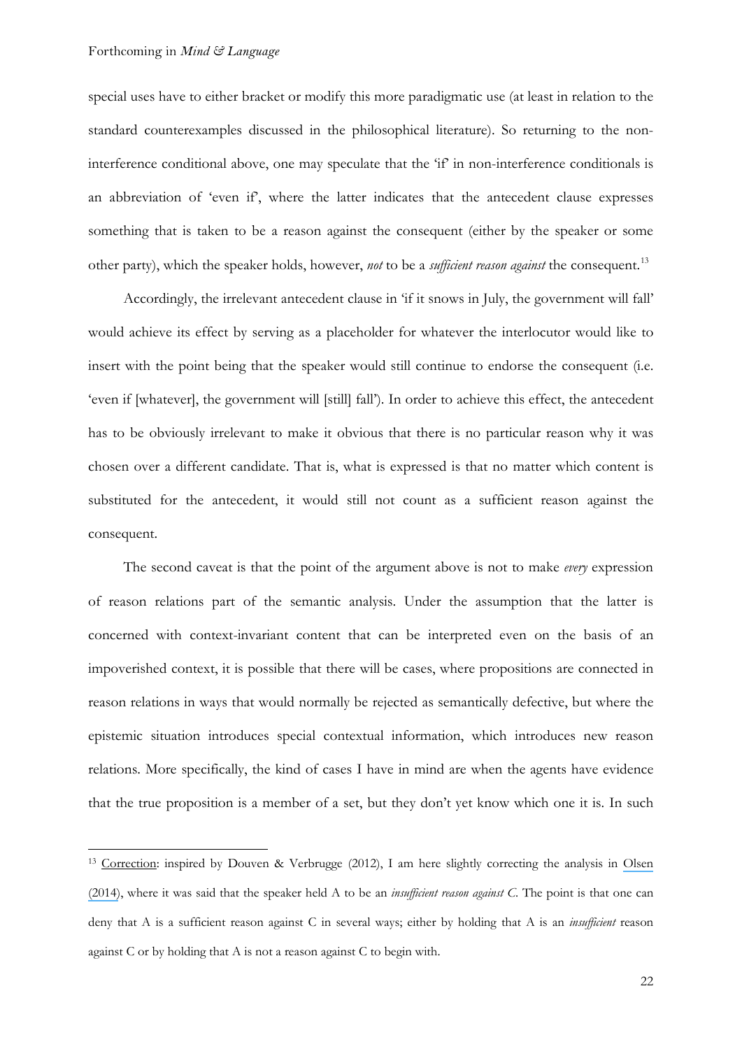special uses have to either bracket or modify this more paradigmatic use (at least in relation to the standard counterexamples discussed in the philosophical literature). So returning to the noninterference conditional above, one may speculate that the 'if' in non-interference conditionals is an abbreviation of 'even if', where the latter indicates that the antecedent clause expresses something that is taken to be a reason against the consequent (either by the speaker or some other party), which the speaker holds, however, *not* to be a *sufficient reason against* the consequent.[13](#page-22-0)

Accordingly, the irrelevant antecedent clause in 'if it snows in July, the government will fall' would achieve its effect by serving as a placeholder for whatever the interlocutor would like to insert with the point being that the speaker would still continue to endorse the consequent (i.e. 'even if [whatever], the government will [still] fall'). In order to achieve this effect, the antecedent has to be obviously irrelevant to make it obvious that there is no particular reason why it was chosen over a different candidate. That is, what is expressed is that no matter which content is substituted for the antecedent, it would still not count as a sufficient reason against the consequent.

The second caveat is that the point of the argument above is not to make *every* expression of reason relations part of the semantic analysis. Under the assumption that the latter is concerned with context-invariant content that can be interpreted even on the basis of an impoverished context, it is possible that there will be cases, where propositions are connected in reason relations in ways that would normally be rejected as semantically defective, but where the epistemic situation introduces special contextual information, which introduces new reason relations. More specifically, the kind of cases I have in mind are when the agents have evidence that the true proposition is a member of a set, but they don't yet know which one it is. In such

<span id="page-22-0"></span><sup>&</sup>lt;sup>13</sup> Correction: inspired by Douven & Verbrugge (2012), I am here slightly correcting the analysis in [Olsen](https://www.researchgate.net/publication/269279105_Making_Ranking_Theory_useful_for_Psychology_of_Reasoning?el=1_x_8&enrichId=rgreq-7cd8c817751de17319d11462b8d389db-XXX&enrichSource=Y292ZXJQYWdlOzI4MDExMDc2NztBUzoyNTI0OTE3NTc1MTg4NDhAMTQzNzIxMDEzNDM1OA==) [\(2014\)](https://www.researchgate.net/publication/269279105_Making_Ranking_Theory_useful_for_Psychology_of_Reasoning?el=1_x_8&enrichId=rgreq-7cd8c817751de17319d11462b8d389db-XXX&enrichSource=Y292ZXJQYWdlOzI4MDExMDc2NztBUzoyNTI0OTE3NTc1MTg4NDhAMTQzNzIxMDEzNDM1OA==), where it was said that the speaker held A to be an *insufficient reason against C*. The point is that one can deny that A is a sufficient reason against C in several ways; either by holding that A is an *insufficient* reason against C or by holding that A is not a reason against C to begin with.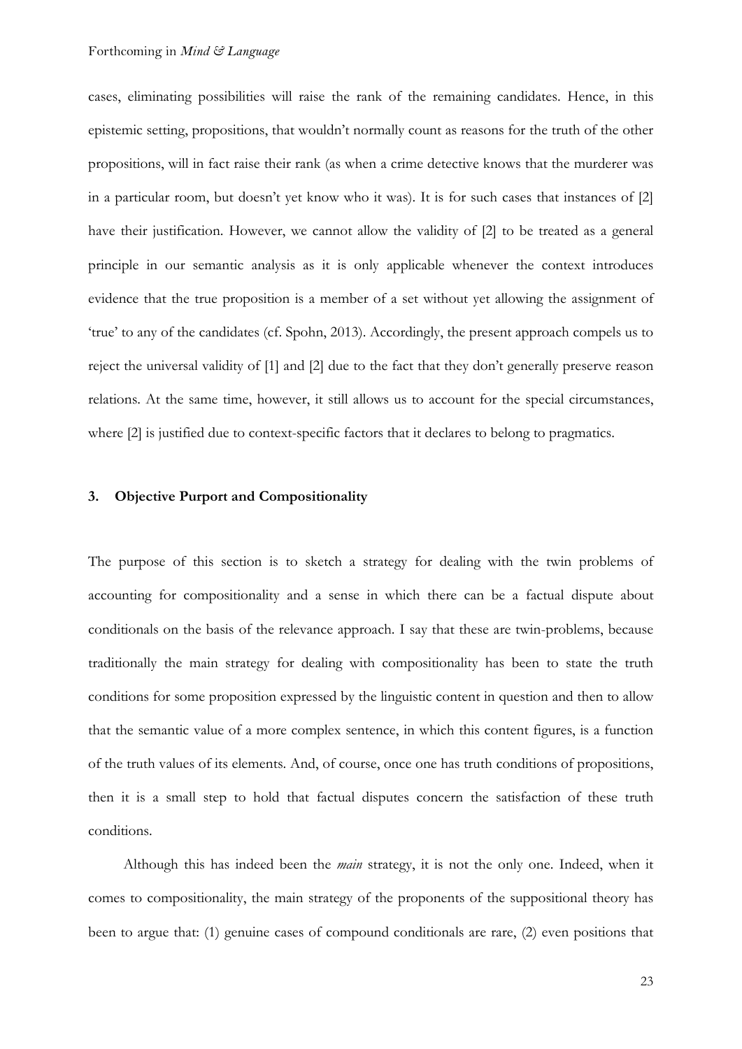cases, eliminating possibilities will raise the rank of the remaining candidates. Hence, in this epistemic setting, propositions, that wouldn't normally count as reasons for the truth of the other propositions, will in fact raise their rank (as when a crime detective knows that the murderer was in a particular room, but doesn't yet know who it was). It is for such cases that instances of [2] have their justification. However, we cannot allow the validity of [2] to be treated as a general principle in our semantic analysis as it is only applicable whenever the context introduces evidence that the true proposition is a member of a set without yet allowing the assignment of 'true' to any of the candidates (cf. Spohn, 2013). Accordingly, the present approach compels us to reject the universal validity of [1] and [2] due to the fact that they don't generally preserve reason relations. At the same time, however, it still allows us to account for the special circumstances, where [2] is justified due to context-specific factors that it declares to belong to pragmatics.

# **3. Objective Purport and Compositionality**

The purpose of this section is to sketch a strategy for dealing with the twin problems of accounting for compositionality and a sense in which there can be a factual dispute about conditionals on the basis of the relevance approach. I say that these are twin-problems, because traditionally the main strategy for dealing with compositionality has been to state the truth conditions for some proposition expressed by the linguistic content in question and then to allow that the semantic value of a more complex sentence, in which this content figures, is a function of the truth values of its elements. And, of course, once one has truth conditions of propositions, then it is a small step to hold that factual disputes concern the satisfaction of these truth conditions.

Although this has indeed been the *main* strategy, it is not the only one. Indeed, when it comes to compositionality, the main strategy of the proponents of the suppositional theory has been to argue that: (1) genuine cases of compound conditionals are rare, (2) even positions that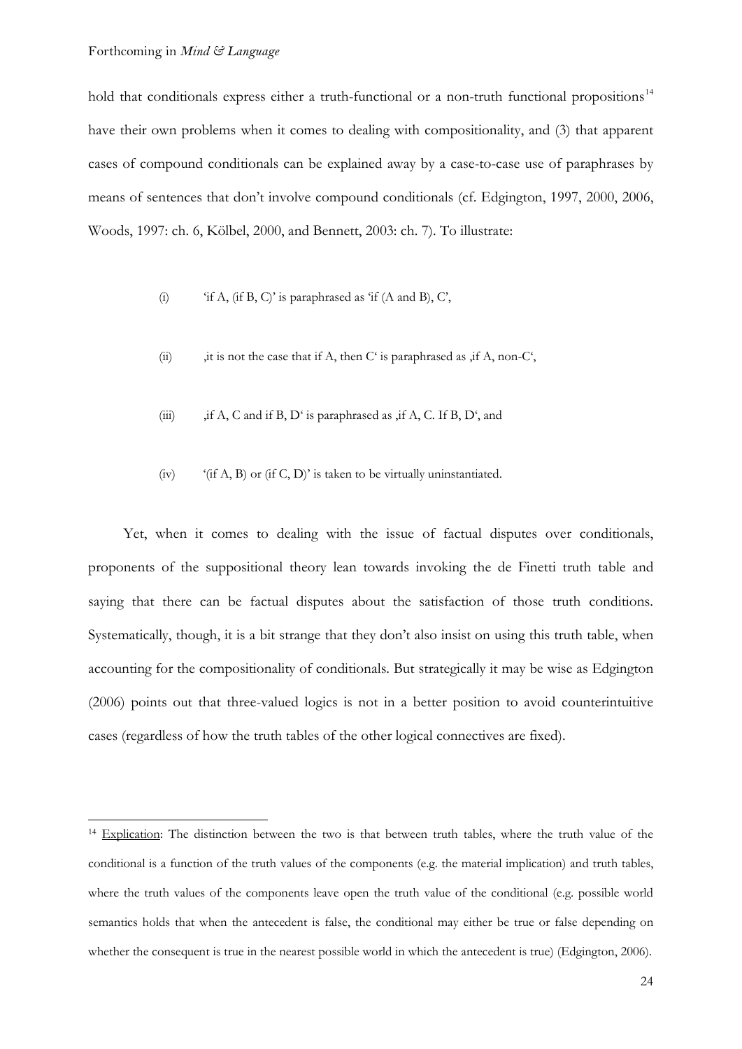hold that conditionals express either a truth-functional or a non-truth functional propositions<sup>[14](#page-24-0)</sup> have their own problems when it comes to dealing with compositionality, and (3) that apparent cases of compound conditionals can be explained away by a case-to-case use of paraphrases by means of sentences that don't involve compound conditionals (cf. Edgington, 1997, 2000, 2006, Woods, 1997: ch. 6, Kölbel, 2000, and Bennett, 2003: ch. 7). To illustrate:

- (i) 'if A, (if B, C)' is paraphrased as 'if (A and B), C',
- (ii)  $\therefore$ , it is not the case that if A, then C' is paraphrased as , if A, non-C',
- (iii)  $\therefore$  if A, C and if B, D' is paraphrased as , if A, C. If B, D', and
- (iv) '(if A, B) or (if C, D)' is taken to be virtually uninstantiated.

Yet, when it comes to dealing with the issue of factual disputes over conditionals, proponents of the suppositional theory lean towards invoking the de Finetti truth table and saying that there can be factual disputes about the satisfaction of those truth conditions. Systematically, though, it is a bit strange that they don't also insist on using this truth table, when accounting for the compositionality of conditionals. But strategically it may be wise as Edgington (2006) points out that three-valued logics is not in a better position to avoid counterintuitive cases (regardless of how the truth tables of the other logical connectives are fixed).

<span id="page-24-0"></span><sup>&</sup>lt;sup>14</sup> Explication: The distinction between the two is that between truth tables, where the truth value of the conditional is a function of the truth values of the components (e.g. the material implication) and truth tables, where the truth values of the components leave open the truth value of the conditional (e.g. possible world semantics holds that when the antecedent is false, the conditional may either be true or false depending on whether the consequent is true in the nearest possible world in which the antecedent is true) (Edgington, 2006).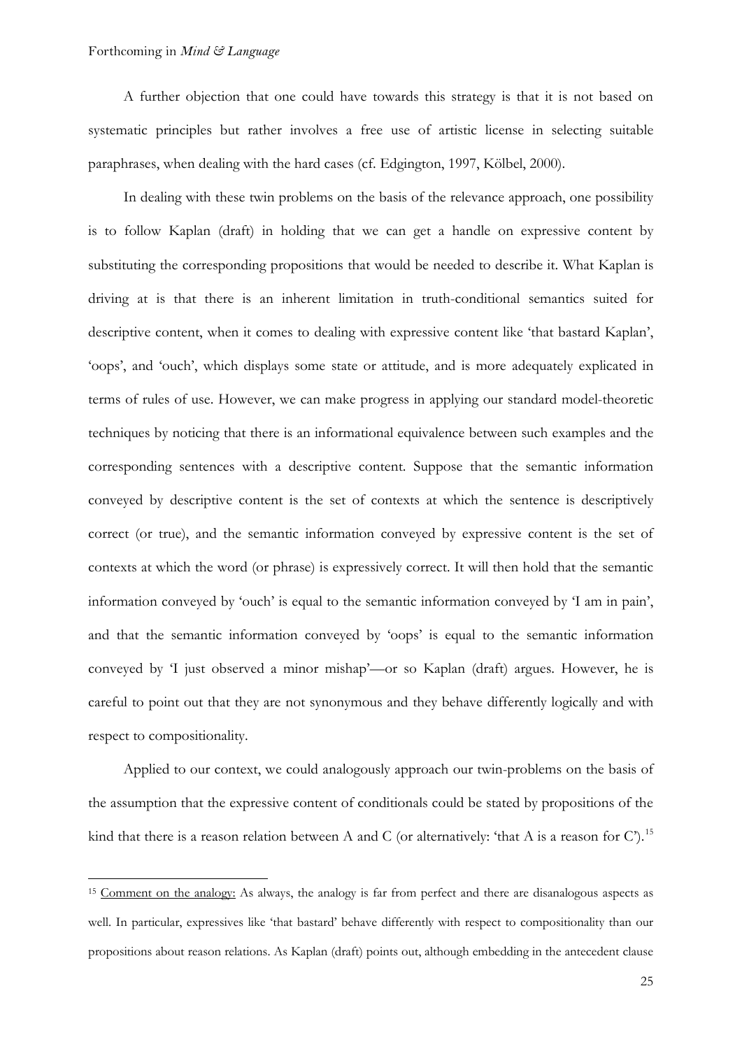A further objection that one could have towards this strategy is that it is not based on systematic principles but rather involves a free use of artistic license in selecting suitable paraphrases, when dealing with the hard cases (cf. Edgington, 1997, Kölbel, 2000).

In dealing with these twin problems on the basis of the relevance approach, one possibility is to follow Kaplan (draft) in holding that we can get a handle on expressive content by substituting the corresponding propositions that would be needed to describe it. What Kaplan is driving at is that there is an inherent limitation in truth-conditional semantics suited for descriptive content, when it comes to dealing with expressive content like 'that bastard Kaplan', 'oops', and 'ouch', which displays some state or attitude, and is more adequately explicated in terms of rules of use. However, we can make progress in applying our standard model-theoretic techniques by noticing that there is an informational equivalence between such examples and the corresponding sentences with a descriptive content. Suppose that the semantic information conveyed by descriptive content is the set of contexts at which the sentence is descriptively correct (or true), and the semantic information conveyed by expressive content is the set of contexts at which the word (or phrase) is expressively correct. It will then hold that the semantic information conveyed by 'ouch' is equal to the semantic information conveyed by 'I am in pain', and that the semantic information conveyed by 'oops' is equal to the semantic information conveyed by 'I just observed a minor mishap'—or so Kaplan (draft) argues. However, he is careful to point out that they are not synonymous and they behave differently logically and with respect to compositionality.

Applied to our context, we could analogously approach our twin-problems on the basis of the assumption that the expressive content of conditionals could be stated by propositions of the kind that there is a reason relation between A and C (or alternatively: 'that A is a reason for C').<sup>[15](#page-25-0)</sup>

<span id="page-25-0"></span><sup>&</sup>lt;sup>15</sup> Comment on the analogy: As always, the analogy is far from perfect and there are disanalogous aspects as well. In particular, expressives like 'that bastard' behave differently with respect to compositionality than our propositions about reason relations. As Kaplan (draft) points out, although embedding in the antecedent clause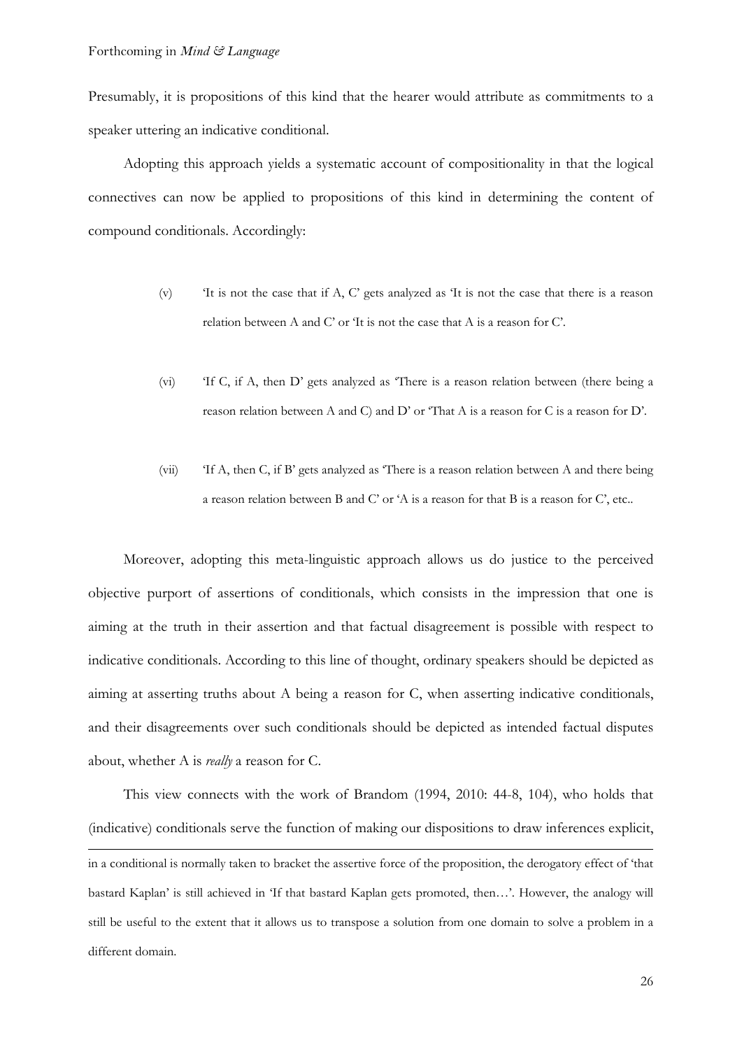Presumably, it is propositions of this kind that the hearer would attribute as commitments to a speaker uttering an indicative conditional.

Adopting this approach yields a systematic account of compositionality in that the logical connectives can now be applied to propositions of this kind in determining the content of compound conditionals. Accordingly:

- (v) 'It is not the case that if A, C' gets analyzed as 'It is not the case that there is a reason relation between A and C' or 'It is not the case that A is a reason for C'.
- (vi) 'If C, if A, then D' gets analyzed as 'There is a reason relation between (there being a reason relation between A and C) and D' or 'That A is a reason for C is a reason for D'.
- (vii) 'If A, then C, if B' gets analyzed as 'There is a reason relation between A and there being a reason relation between B and C' or 'A is a reason for that B is a reason for C', etc..

Moreover, adopting this meta-linguistic approach allows us do justice to the perceived objective purport of assertions of conditionals, which consists in the impression that one is aiming at the truth in their assertion and that factual disagreement is possible with respect to indicative conditionals. According to this line of thought, ordinary speakers should be depicted as aiming at asserting truths about A being a reason for C, when asserting indicative conditionals, and their disagreements over such conditionals should be depicted as intended factual disputes about, whether A is *really* a reason for C.

This view connects with the work of Brandom (1994, 2010: 44-8, 104), who holds that (indicative) conditionals serve the function of making our dispositions to draw inferences explicit,  $\overline{a}$ in a conditional is normally taken to bracket the assertive force of the proposition, the derogatory effect of 'that bastard Kaplan' is still achieved in 'If that bastard Kaplan gets promoted, then…'. However, the analogy will still be useful to the extent that it allows us to transpose a solution from one domain to solve a problem in a different domain.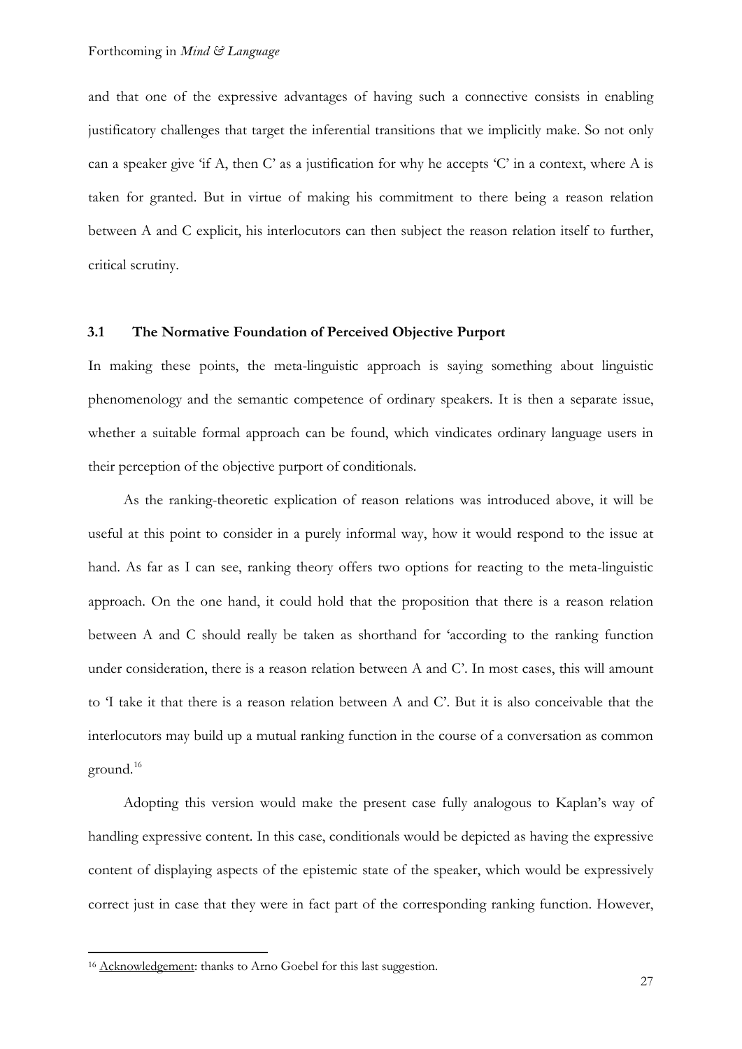and that one of the expressive advantages of having such a connective consists in enabling justificatory challenges that target the inferential transitions that we implicitly make. So not only can a speaker give 'if A, then C' as a justification for why he accepts 'C' in a context, where A is taken for granted. But in virtue of making his commitment to there being a reason relation between A and C explicit, his interlocutors can then subject the reason relation itself to further, critical scrutiny.

#### **3.1 The Normative Foundation of Perceived Objective Purport**

In making these points, the meta-linguistic approach is saying something about linguistic phenomenology and the semantic competence of ordinary speakers. It is then a separate issue, whether a suitable formal approach can be found, which vindicates ordinary language users in their perception of the objective purport of conditionals.

As the ranking-theoretic explication of reason relations was introduced above, it will be useful at this point to consider in a purely informal way, how it would respond to the issue at hand. As far as I can see, ranking theory offers two options for reacting to the meta-linguistic approach. On the one hand, it could hold that the proposition that there is a reason relation between A and C should really be taken as shorthand for 'according to the ranking function under consideration, there is a reason relation between A and C'. In most cases, this will amount to 'I take it that there is a reason relation between A and C'. But it is also conceivable that the interlocutors may build up a mutual ranking function in the course of a conversation as common ground.[16](#page-27-0)

Adopting this version would make the present case fully analogous to Kaplan's way of handling expressive content. In this case, conditionals would be depicted as having the expressive content of displaying aspects of the epistemic state of the speaker, which would be expressively correct just in case that they were in fact part of the corresponding ranking function. However,

 $\overline{a}$ 

<span id="page-27-0"></span><sup>&</sup>lt;sup>16</sup> Acknowledgement: thanks to Arno Goebel for this last suggestion.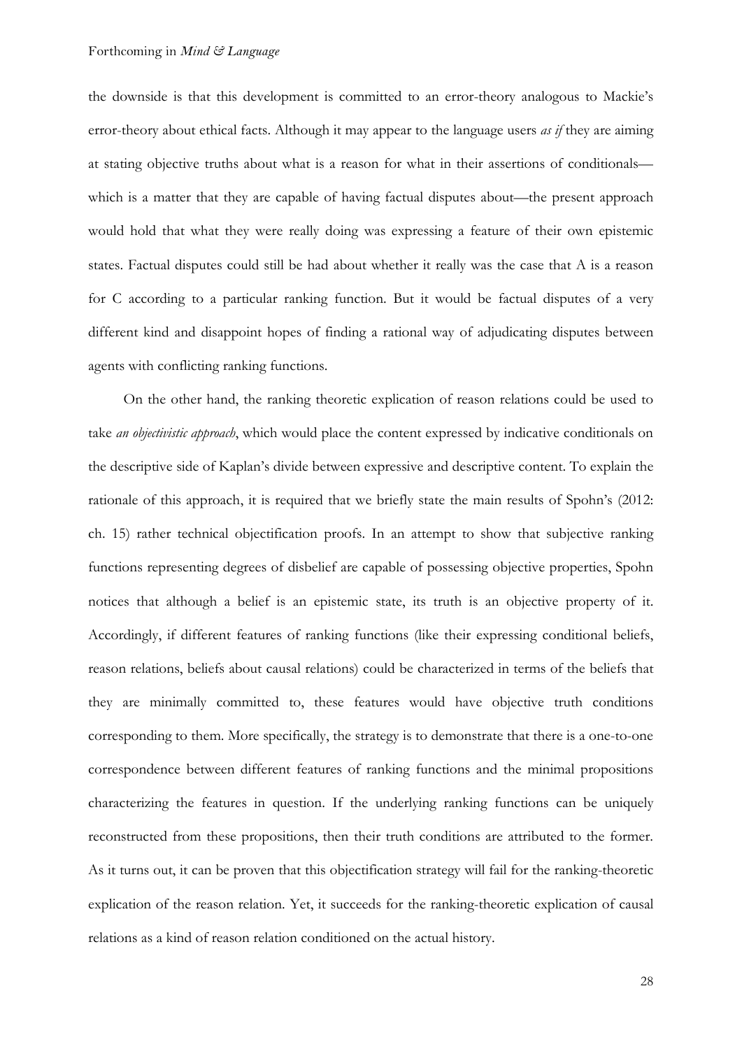# Forthcoming in *Mind & Language*

the downside is that this development is committed to an error-theory analogous to Mackie's error-theory about ethical facts. Although it may appear to the language users *as if* they are aiming at stating objective truths about what is a reason for what in their assertions of conditionals which is a matter that they are capable of having factual disputes about—the present approach would hold that what they were really doing was expressing a feature of their own epistemic states. Factual disputes could still be had about whether it really was the case that A is a reason for C according to a particular ranking function. But it would be factual disputes of a very different kind and disappoint hopes of finding a rational way of adjudicating disputes between agents with conflicting ranking functions.

On the other hand, the ranking theoretic explication of reason relations could be used to take *an objectivistic approach*, which would place the content expressed by indicative conditionals on the descriptive side of Kaplan's divide between expressive and descriptive content. To explain the rationale of this approach, it is required that we briefly state the main results of Spohn's (2012: ch. 15) rather technical objectification proofs. In an attempt to show that subjective ranking functions representing degrees of disbelief are capable of possessing objective properties, Spohn notices that although a belief is an epistemic state, its truth is an objective property of it. Accordingly, if different features of ranking functions (like their expressing conditional beliefs, reason relations, beliefs about causal relations) could be characterized in terms of the beliefs that they are minimally committed to, these features would have objective truth conditions corresponding to them. More specifically, the strategy is to demonstrate that there is a one-to-one correspondence between different features of ranking functions and the minimal propositions characterizing the features in question. If the underlying ranking functions can be uniquely reconstructed from these propositions, then their truth conditions are attributed to the former. As it turns out, it can be proven that this objectification strategy will fail for the ranking-theoretic explication of the reason relation. Yet, it succeeds for the ranking-theoretic explication of causal relations as a kind of reason relation conditioned on the actual history.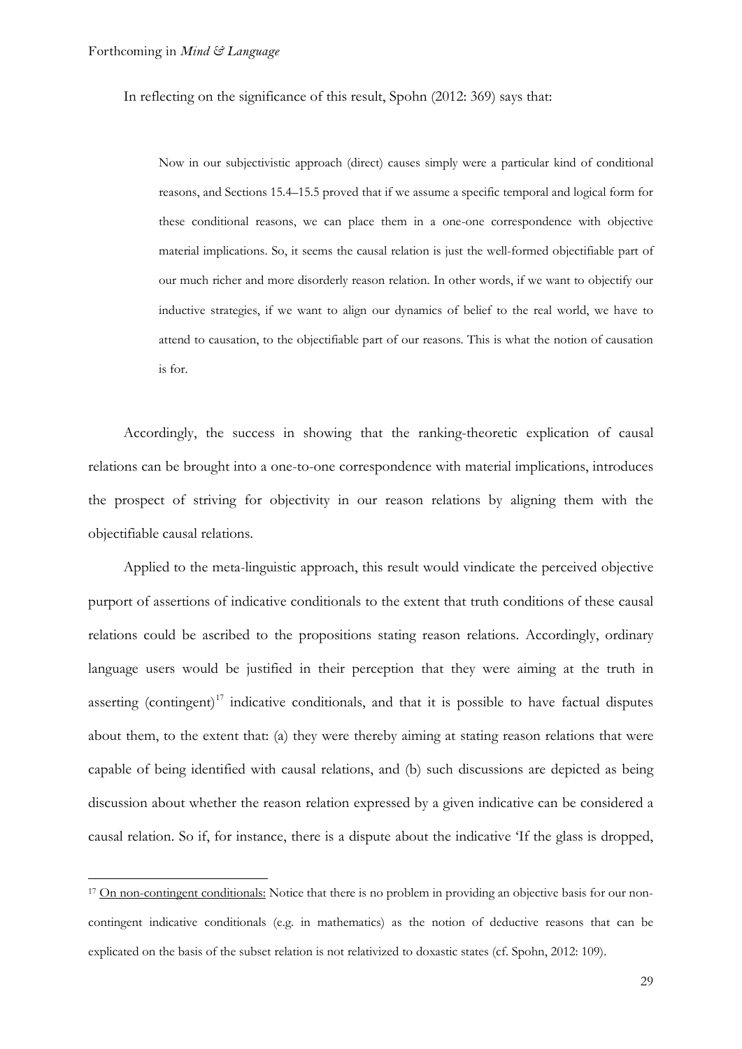In reflecting on the significance of this result, Spohn (2012: 369) says that:

Now in our subjectivistic approach (direct) causes simply were a particular kind of conditional reasons, and Sections 15.4–15.5 proved that if we assume a specific temporal and logical form for these conditional reasons, we can place them in a one-one correspondence with objective material implications. So, it seems the causal relation is just the well-formed objectifiable part of our much richer and more disorderly reason relation. In other words, if we want to objectify our inductive strategies, if we want to align our dynamics of belief to the real world, we have to attend to causation, to the objectifiable part of our reasons. This is what the notion of causation is for.

Accordingly, the success in showing that the ranking-theoretic explication of causal relations can be brought into a one-to-one correspondence with material implications, introduces the prospect of striving for objectivity in our reason relations by aligning them with the objectifiable causal relations.

Applied to the meta-linguistic approach, this result would vindicate the perceived objective purport of assertions of indicative conditionals to the extent that truth conditions of these causal relations could be ascribed to the propositions stating reason relations. Accordingly, ordinary language users would be justified in their perception that they were aiming at the truth in asserting (contingent)<sup>[17](#page-29-0)</sup> indicative conditionals, and that it is possible to have factual disputes about them, to the extent that: (a) they were thereby aiming at stating reason relations that were capable of being identified with causal relations, and (b) such discussions are depicted as being discussion about whether the reason relation expressed by a given indicative can be considered a causal relation. So if, for instance, there is a dispute about the indicative 'If the glass is dropped,

<span id="page-29-0"></span><sup>&</sup>lt;sup>17</sup> On non-contingent conditionals: Notice that there is no problem in providing an objective basis for our noncontingent indicative conditionals (e.g. in mathematics) as the notion of deductive reasons that can be explicated on the basis of the subset relation is not relativized to doxastic states (cf. Spohn, 2012: 109).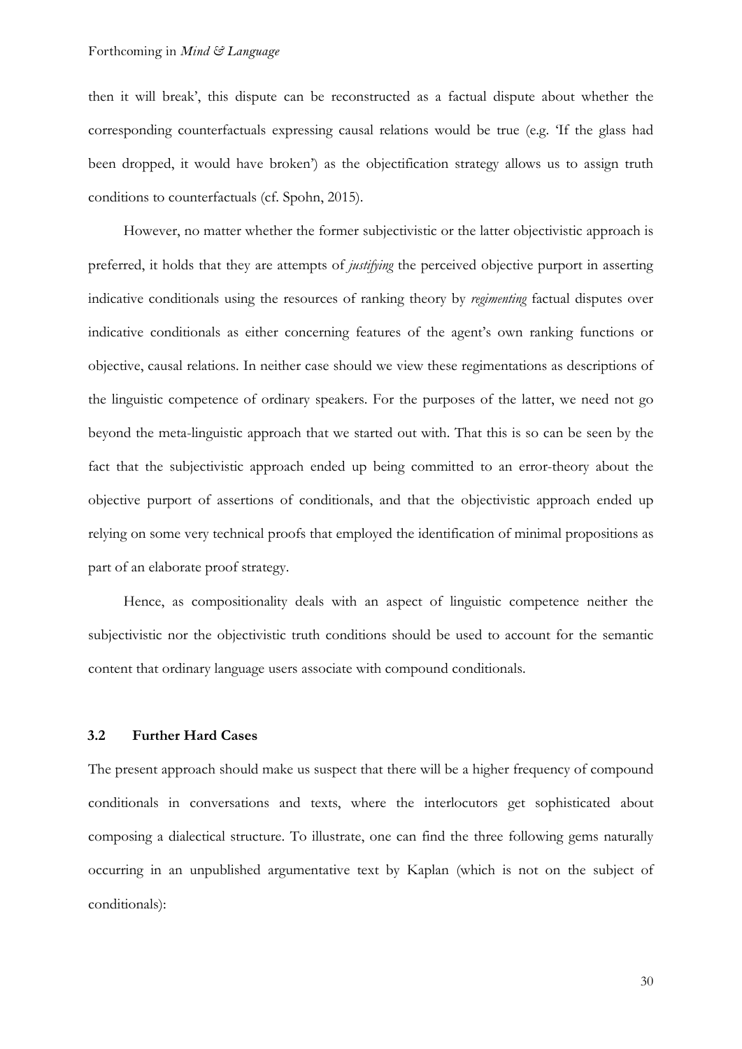## Forthcoming in *Mind & Language*

then it will break', this dispute can be reconstructed as a factual dispute about whether the corresponding counterfactuals expressing causal relations would be true (e.g. 'If the glass had been dropped, it would have broken') as the objectification strategy allows us to assign truth conditions to counterfactuals (cf. Spohn, 2015).

However, no matter whether the former subjectivistic or the latter objectivistic approach is preferred, it holds that they are attempts of *justifying* the perceived objective purport in asserting indicative conditionals using the resources of ranking theory by *regimenting* factual disputes over indicative conditionals as either concerning features of the agent's own ranking functions or objective, causal relations. In neither case should we view these regimentations as descriptions of the linguistic competence of ordinary speakers. For the purposes of the latter, we need not go beyond the meta-linguistic approach that we started out with. That this is so can be seen by the fact that the subjectivistic approach ended up being committed to an error-theory about the objective purport of assertions of conditionals, and that the objectivistic approach ended up relying on some very technical proofs that employed the identification of minimal propositions as part of an elaborate proof strategy.

Hence, as compositionality deals with an aspect of linguistic competence neither the subjectivistic nor the objectivistic truth conditions should be used to account for the semantic content that ordinary language users associate with compound conditionals.

# **3.2 Further Hard Cases**

The present approach should make us suspect that there will be a higher frequency of compound conditionals in conversations and texts, where the interlocutors get sophisticated about composing a dialectical structure. To illustrate, one can find the three following gems naturally occurring in an unpublished argumentative text by Kaplan (which is not on the subject of conditionals):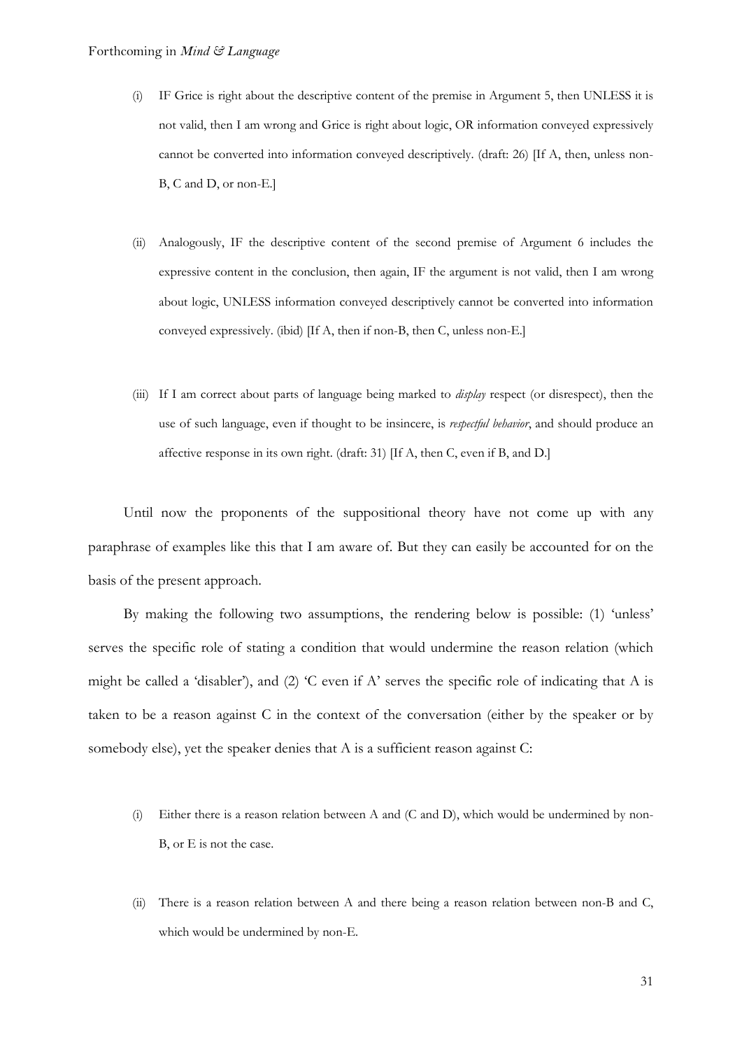- (i) IF Grice is right about the descriptive content of the premise in Argument 5, then UNLESS it is not valid, then I am wrong and Grice is right about logic, OR information conveyed expressively cannot be converted into information conveyed descriptively. (draft: 26) [If A, then, unless non-B, C and D, or non-E.]
- (ii) Analogously, IF the descriptive content of the second premise of Argument 6 includes the expressive content in the conclusion, then again, IF the argument is not valid, then I am wrong about logic, UNLESS information conveyed descriptively cannot be converted into information conveyed expressively. (ibid) [If A, then if non-B, then C, unless non-E.]
- (iii) If I am correct about parts of language being marked to *display* respect (or disrespect), then the use of such language, even if thought to be insincere, is *respectful behavior*, and should produce an affective response in its own right. (draft: 31) [If A, then C, even if B, and D.]

Until now the proponents of the suppositional theory have not come up with any paraphrase of examples like this that I am aware of. But they can easily be accounted for on the basis of the present approach.

By making the following two assumptions, the rendering below is possible: (1) 'unless' serves the specific role of stating a condition that would undermine the reason relation (which might be called a 'disabler'), and (2) 'C even if A' serves the specific role of indicating that A is taken to be a reason against C in the context of the conversation (either by the speaker or by somebody else), yet the speaker denies that A is a sufficient reason against C:

- (i) Either there is a reason relation between A and  $(C$  and D), which would be undermined by non-B, or E is not the case.
- (ii) There is a reason relation between A and there being a reason relation between non-B and C, which would be undermined by non-E.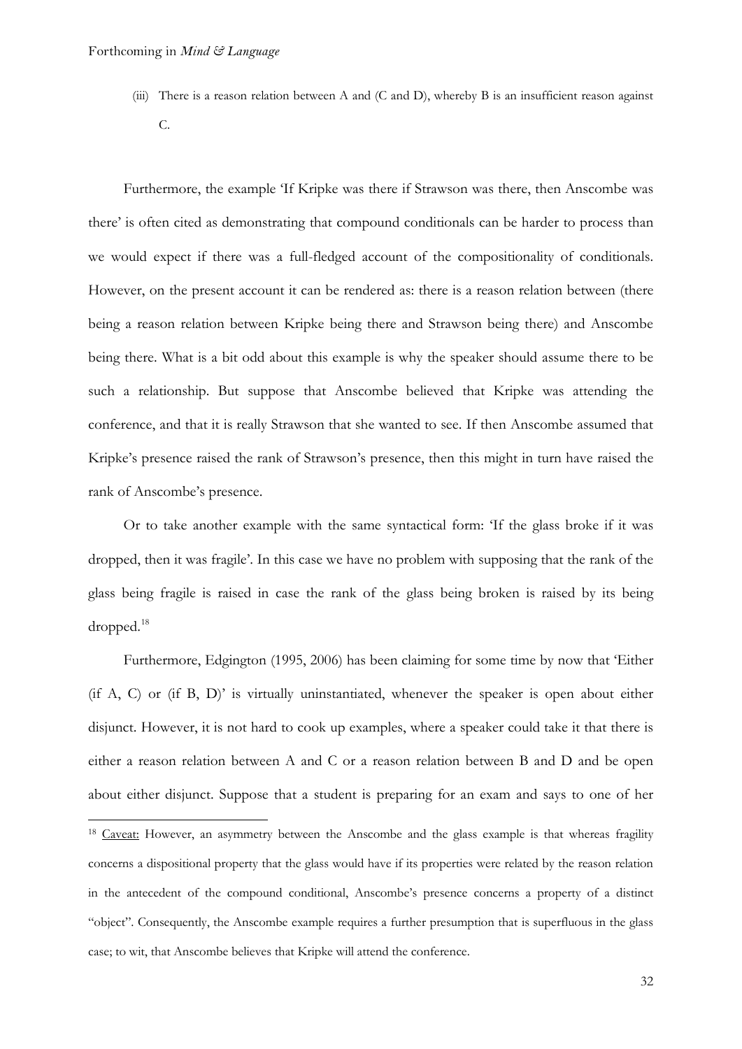(iii) There is a reason relation between A and (C and D), whereby B is an insufficient reason against C.

 $\overline{a}$ 

Furthermore, the example 'If Kripke was there if Strawson was there, then Anscombe was there' is often cited as demonstrating that compound conditionals can be harder to process than we would expect if there was a full-fledged account of the compositionality of conditionals. However, on the present account it can be rendered as: there is a reason relation between (there being a reason relation between Kripke being there and Strawson being there) and Anscombe being there. What is a bit odd about this example is why the speaker should assume there to be such a relationship. But suppose that Anscombe believed that Kripke was attending the conference, and that it is really Strawson that she wanted to see. If then Anscombe assumed that Kripke's presence raised the rank of Strawson's presence, then this might in turn have raised the rank of Anscombe's presence.

Or to take another example with the same syntactical form: 'If the glass broke if it was dropped, then it was fragile'. In this case we have no problem with supposing that the rank of the glass being fragile is raised in case the rank of the glass being broken is raised by its being dropped.<sup>[18](#page-32-0)</sup>

Furthermore, Edgington (1995, 2006) has been claiming for some time by now that 'Either (if A, C) or (if B, D)' is virtually uninstantiated, whenever the speaker is open about either disjunct. However, it is not hard to cook up examples, where a speaker could take it that there is either a reason relation between A and C or a reason relation between B and D and be open about either disjunct. Suppose that a student is preparing for an exam and says to one of her

<span id="page-32-0"></span><sup>&</sup>lt;sup>18</sup> Caveat: However, an asymmetry between the Anscombe and the glass example is that whereas fragility concerns a dispositional property that the glass would have if its properties were related by the reason relation in the antecedent of the compound conditional, Anscombe's presence concerns a property of a distinct "object". Consequently, the Anscombe example requires a further presumption that is superfluous in the glass case; to wit, that Anscombe believes that Kripke will attend the conference.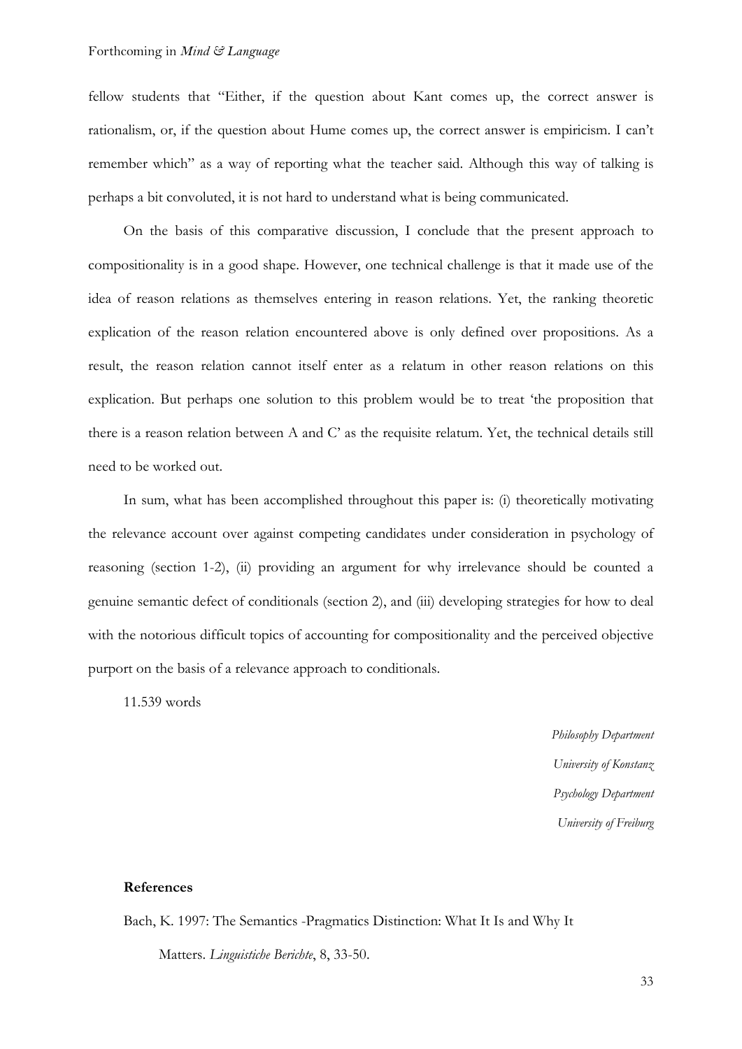fellow students that "Either, if the question about Kant comes up, the correct answer is rationalism, or, if the question about Hume comes up, the correct answer is empiricism. I can't remember which" as a way of reporting what the teacher said. Although this way of talking is perhaps a bit convoluted, it is not hard to understand what is being communicated.

On the basis of this comparative discussion, I conclude that the present approach to compositionality is in a good shape. However, one technical challenge is that it made use of the idea of reason relations as themselves entering in reason relations. Yet, the ranking theoretic explication of the reason relation encountered above is only defined over propositions. As a result, the reason relation cannot itself enter as a relatum in other reason relations on this explication. But perhaps one solution to this problem would be to treat 'the proposition that there is a reason relation between A and C' as the requisite relatum. Yet, the technical details still need to be worked out.

In sum, what has been accomplished throughout this paper is: (i) theoretically motivating the relevance account over against competing candidates under consideration in psychology of reasoning (section 1-2), (ii) providing an argument for why irrelevance should be counted a genuine semantic defect of conditionals (section 2), and (iii) developing strategies for how to deal with the notorious difficult topics of accounting for compositionality and the perceived objective purport on the basis of a relevance approach to conditionals.

11.539 words

*Philosophy Department University of Konstanz Psychology Department University of Freiburg*

#### **References**

Bach, K. 1997: The Semantics -Pragmatics Distinction: What It Is and Why It Matters. *Linguistiche Berichte*, 8, 33-50.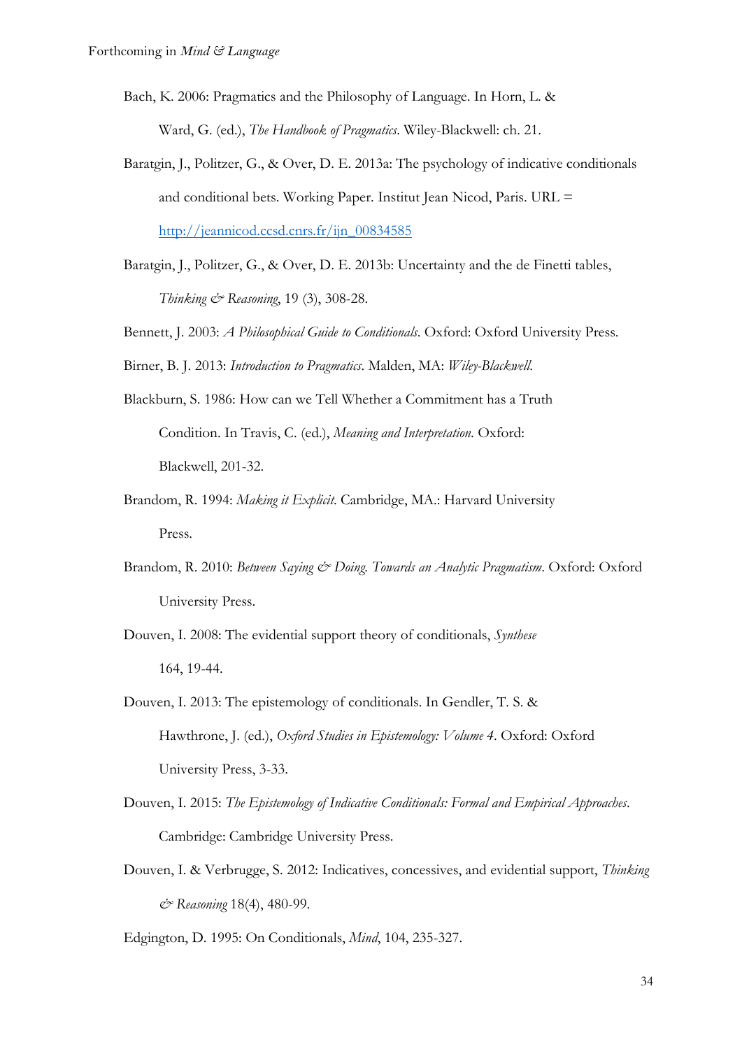- Bach, K. 2006: Pragmatics and the Philosophy of Language. In Horn, L. & Ward, G. (ed.), *The Handbook of Pragmatics*. Wiley-Blackwell: ch. 21.
- Baratgin, J., Politzer, G., & Over, D. E. 2013a: The psychology of indicative conditionals and conditional bets. Working Paper. Institut Jean Nicod, Paris. URL = [http://jeannicod.ccsd.cnrs.fr/ijn\\_00834585](http://jeannicod.ccsd.cnrs.fr/ijn_00834585)
- Baratgin, J., Politzer, G., & Over, D. E. 2013b: Uncertainty and the de Finetti tables, *Thinking & Reasoning*, 19 (3), 308-28.
- Bennett, J. 2003: *A Philosophical Guide to Conditionals*. Oxford: Oxford University Press.

Birner, B. J. 2013: *Introduction to Pragmatics*. Malden, MA: *Wiley-Blackwell*.

- Blackburn, S. 1986: How can we Tell Whether a Commitment has a Truth Condition. In Travis, C. (ed.), *Meaning and Interpretation*. Oxford: Blackwell, 201-32.
- Brandom, R. 1994: *Making it Explicit*. Cambridge, MA.: Harvard University Press.
- Brandom, R. 2010: *Between Saying & Doing. Towards an Analytic Pragmatism*. Oxford: Oxford University Press.
- Douven, I. 2008: The evidential support theory of conditionals, *Synthese* 164, 19-44.
- Douven, I. 2013: The epistemology of conditionals. In Gendler, T. S. & Hawthrone, J. (ed.), *Oxford Studies in Epistemology: Volume 4*. Oxford: Oxford University Press, 3-33.
- Douven, I. 2015: *The Epistemology of Indicative Conditionals: Formal and Empirical Approaches*. Cambridge: Cambridge University Press.
- Douven, I. & Verbrugge, S. 2012: Indicatives, concessives, and evidential support, *Thinking & Reasoning* 18(4), 480-99.

Edgington, D. 1995: On Conditionals, *Mind*, 104, 235-327.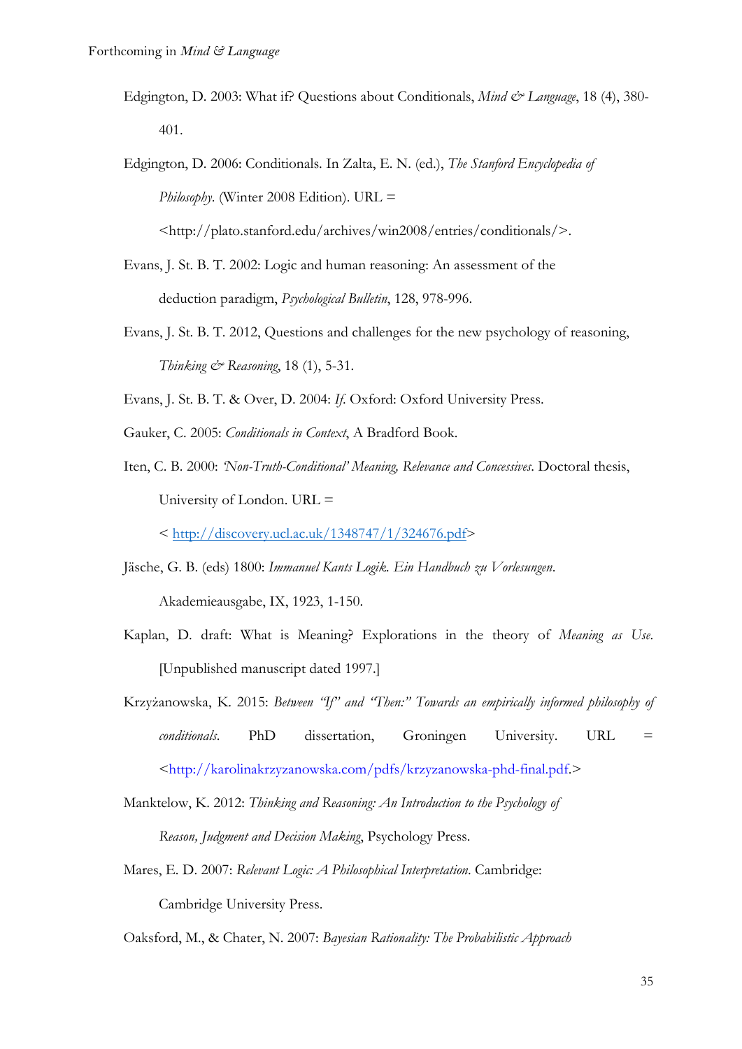Edgington, D. 2003: What if? Questions about Conditionals, *Mind & Language*, 18 (4), 380-401.

Edgington, D. 2006: Conditionals. In Zalta, E. N. (ed.), *The Stanford Encyclopedia of Philosophy*. (Winter 2008 Edition). URL =

<http://plato.stanford.edu/archives/win2008/entries/conditionals/>.

- Evans, J. St. B. T. 2002: Logic and human reasoning: An assessment of the deduction paradigm, *Psychological Bulletin*, 128, 978-996.
- Evans, J. St. B. T. 2012, Questions and challenges for the new psychology of reasoning, *Thinking & Reasoning*, 18 (1), 5-31.

Evans, J. St. B. T. & Over, D. 2004: *If*. Oxford: Oxford University Press.

Gauker, C. 2005: *Conditionals in Context*, A Bradford Book.

Iten, C. B. 2000: *'Non-Truth-Conditional' Meaning, Relevance and Concessives*. Doctoral thesis, University of London. URL =

 $\frac{\text{http://discovery.ucl.ac.uk/1348747/1/324676.pdf}}{$ 

Jäsche, G. B. (eds) 1800: *Immanuel Kants Logik. Ein Handbuch zu Vorlesungen*.

Akademieausgabe, IX, 1923, 1-150.

- Kaplan, D. draft: What is Meaning? Explorations in the theory of *Meaning as Use*. [Unpublished manuscript dated 1997.]
- Krzyżanowska, K. 2015: *Between "If" and "Then:" Towards an empirically informed philosophy of conditionals*. PhD dissertation, Groningen University. URL = <http://karolinakrzyzanowska.com/pdfs/krzyzanowska-phd-final.pdf.>

Manktelow, K. 2012: *Thinking and Reasoning: An Introduction to the Psychology of Reason, Judgment and Decision Making*, Psychology Press.

Mares, E. D. 2007: *Relevant Logic: A Philosophical Interpretation*. Cambridge: Cambridge University Press.

Oaksford, M., & Chater, N. 2007: *Bayesian Rationality: The Probabilistic Approach*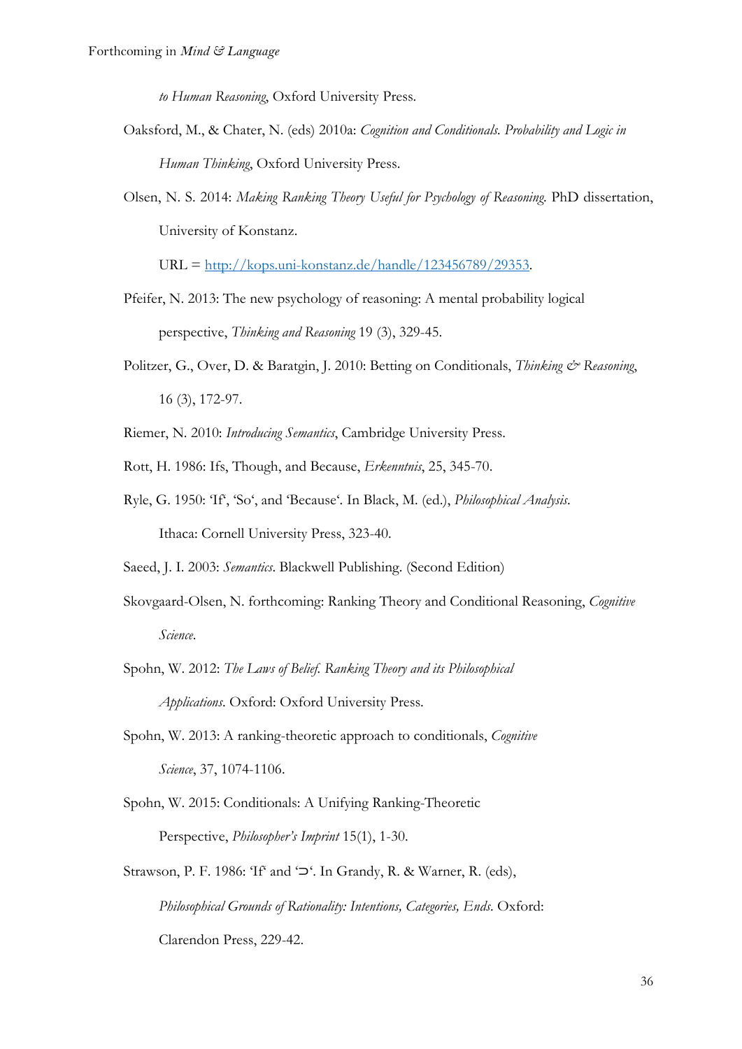*to Human Reasoning*, Oxford University Press.

- Oaksford, M., & Chater, N. (eds) 2010a: *Cognition and Conditionals. Probability and Logic in Human Thinking*, Oxford University Press.
- Olsen, N. S. 2014: *Making Ranking Theory Useful for Psychology of Reasoning*. PhD dissertation, University of Konstanz.

 $URL = \frac{http://kops.uni-konstanz.de/handle/123456789/29353.}$ 

- Pfeifer, N. 2013: The new psychology of reasoning: A mental probability logical perspective, *Thinking and Reasoning* 19 (3), 329-45.
- Politzer, G., Over, D. & Baratgin, J. 2010: Betting on Conditionals, *Thinking & Reasoning*, 16 (3), 172-97.
- Riemer, N. 2010: *Introducing Semantics*, Cambridge University Press.
- Rott, H. 1986: Ifs, Though, and Because, *Erkenntnis*, 25, 345-70.
- Ryle, G. 1950: 'If', 'So', and 'Because'. In Black, M. (ed.), *Philosophical Analysis*. Ithaca: Cornell University Press, 323-40.

Saeed, J. I. 2003: *Semantics*. Blackwell Publishing. (Second Edition)

- Skovgaard-Olsen, N. forthcoming: Ranking Theory and Conditional Reasoning, *Cognitive Science*.
- Spohn, W. 2012: *The Laws of Belief. Ranking Theory and its Philosophical Applications*. Oxford: Oxford University Press.
- Spohn, W. 2013: A ranking-theoretic approach to conditionals, *Cognitive Science*, 37, 1074-1106.
- Spohn, W. 2015: Conditionals: A Unifying Ranking-Theoretic Perspective, *Philosopher's Imprint* 15(1), 1-30.
- Strawson, P. F. 1986: 'If' and '⊃'. In Grandy, R. & Warner, R. (eds), *Philosophical Grounds of Rationality: Intentions, Categories, Ends*. Oxford: Clarendon Press, 229-42.